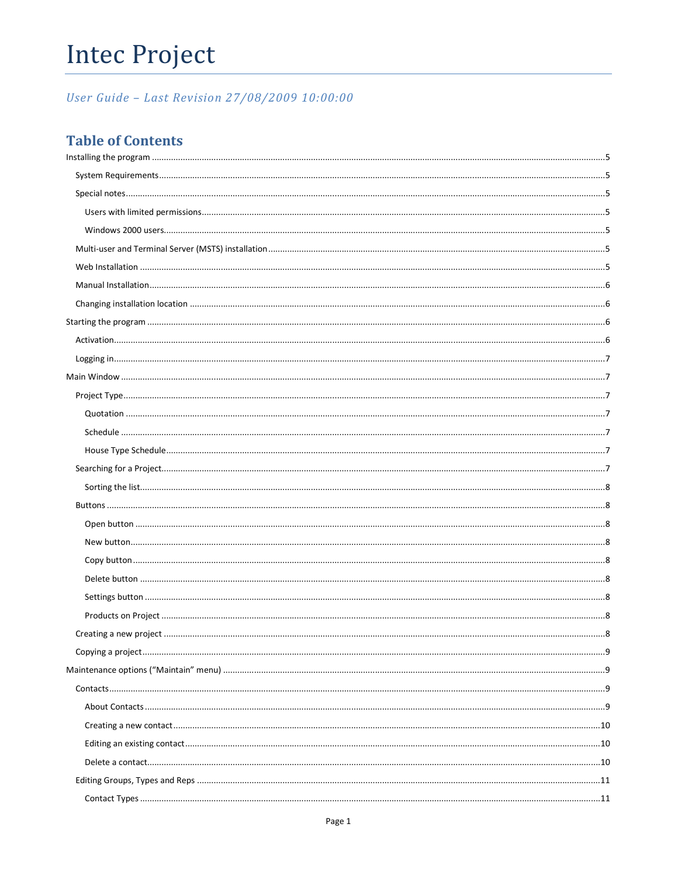# **Intec Project**

User Guide - Last Revision 27/08/2009 10:00:00

# **Table of Contents**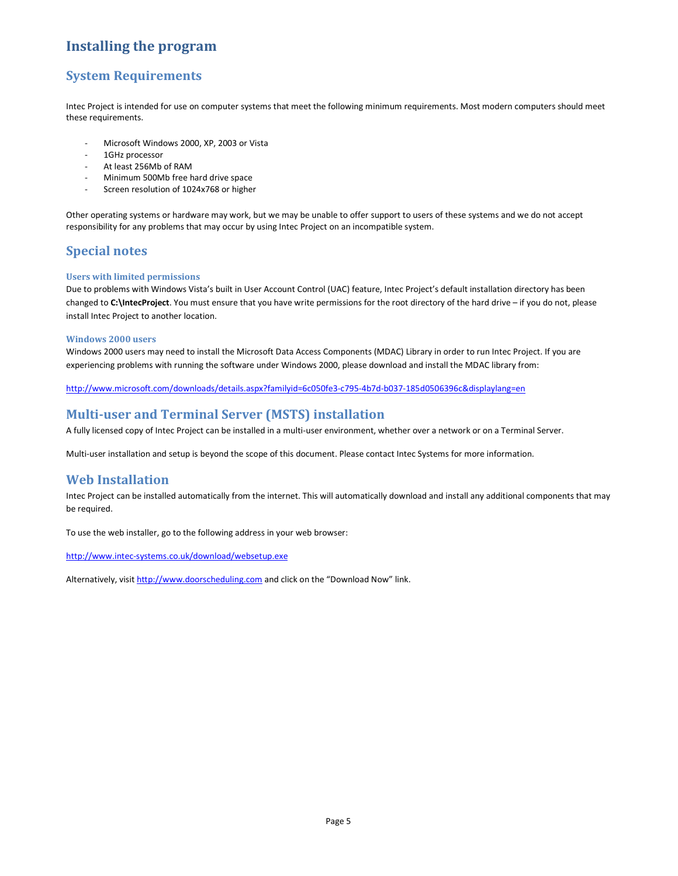# Installing the program

# System Requirements

Intec Project is intended for use on computer systems that meet the following minimum requirements. Most modern computers should meet these requirements.

- Microsoft Windows 2000, XP, 2003 or Vista
- 1GHz processor
- At least 256Mb of RAM
- Minimum 500Mb free hard drive space
- Screen resolution of 1024x768 or higher

Other operating systems or hardware may work, but we may be unable to offer support to users of these systems and we do not accept responsibility for any problems that may occur by using Intec Project on an incompatible system.

# Special notes

### Users with limited permissions

Due to problems with Windows Vista's built in User Account Control (UAC) feature, Intec Project's default installation directory has been changed to C:\IntecProject. You must ensure that you have write permissions for the root directory of the hard drive – if you do not, please install Intec Project to another location.

### Windows 2000 users

Windows 2000 users may need to install the Microsoft Data Access Components (MDAC) Library in order to run Intec Project. If you are experiencing problems with running the software under Windows 2000, please download and install the MDAC library from:

http://www.microsoft.com/downloads/details.aspx?familyid=6c050fe3-c795-4b7d-b037-185d0506396c&displaylang=en

# Multi-user and Terminal Server (MSTS) installation

A fully licensed copy of Intec Project can be installed in a multi-user environment, whether over a network or on a Terminal Server.

Multi-user installation and setup is beyond the scope of this document. Please contact Intec Systems for more information.

# Web Installation

Intec Project can be installed automatically from the internet. This will automatically download and install any additional components that may be required.

To use the web installer, go to the following address in your web browser:

http://www.intec-systems.co.uk/download/websetup.exe

Alternatively, visit http://www.doorscheduling.com and click on the "Download Now" link.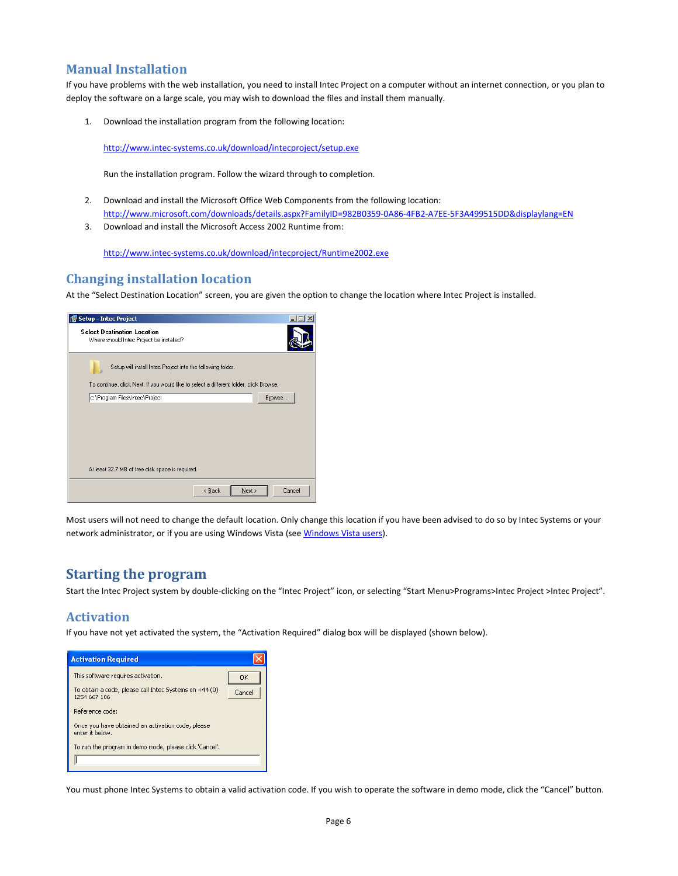# Manual Installation

If you have problems with the web installation, you need to install Intec Project on a computer without an internet connection, or you plan to deploy the software on a large scale, you may wish to download the files and install them manually.

1. Download the installation program from the following location:

http://www.intec-systems.co.uk/download/intecproject/setup.exe

Run the installation program. Follow the wizard through to completion.

- 2. Download and install the Microsoft Office Web Components from the following location: http://www.microsoft.com/downloads/details.aspx?FamilyID=982B0359-0A86-4FB2-A7EE-5F3A499515DD&displaylang=EN
- 3. Download and install the Microsoft Access 2002 Runtime from:

http://www.intec-systems.co.uk/download/intecproject/Runtime2002.exe

# Changing installation location

At the "Select Destination Location" screen, you are given the option to change the location where Intec Project is installed.



Most users will not need to change the default location. Only change this location if you have been advised to do so by Intec Systems or your network administrator, or if you are using Windows Vista (see Windows Vista users).

# Starting the program

Start the Intec Project system by double-clicking on the "Intec Project" icon, or selecting "Start Menu>Programs>Intec Project >Intec Project".

### Activation

If you have not yet activated the system, the "Activation Required" dialog box will be displayed (shown below).

| <b>Activation Required</b>                                                                   |        |
|----------------------------------------------------------------------------------------------|--------|
| This software requires activation.<br>To obtain a code, please call Intec Systems on +44 (0) | OK     |
| 1254 667 106                                                                                 | Cancel |
| Reference code:<br>Once you have obtained an activation code, please                         |        |
| enter it helnw.<br>To run the program in demo mode, please click 'Cancel'.                   |        |
|                                                                                              |        |

You must phone Intec Systems to obtain a valid activation code. If you wish to operate the software in demo mode, click the "Cancel" button.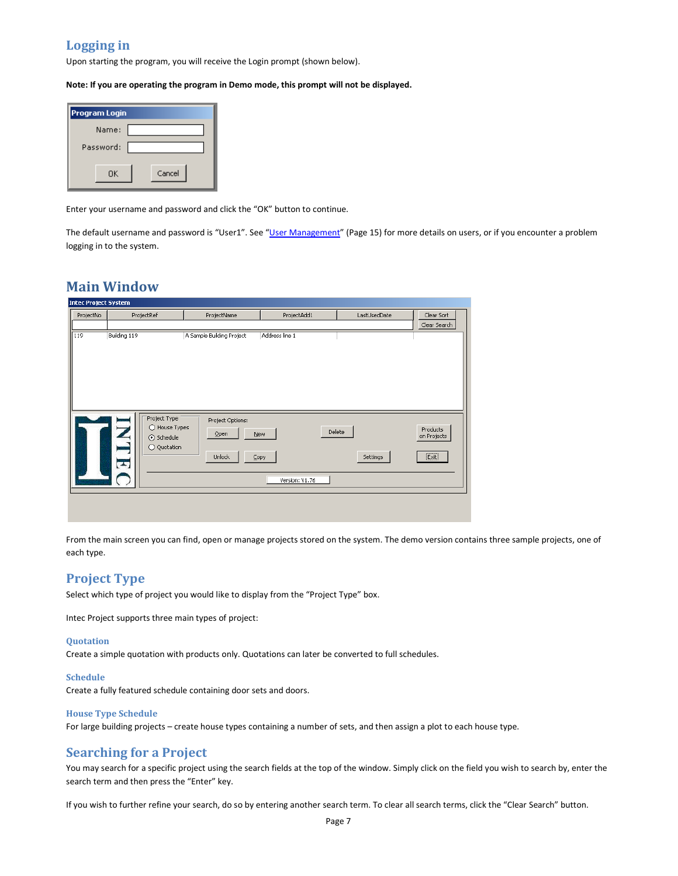# Logging in

Upon starting the program, you will receive the Login prompt (shown below).

Note: If you are operating the program in Demo mode, this prompt will not be displayed.

| <b>Program Login</b> |  |  |  |
|----------------------|--|--|--|
| Name:                |  |  |  |
| Password:            |  |  |  |
| Cancel<br>ΟK         |  |  |  |

Enter your username and password and click the "OK" button to continue.

The default username and password is "User1". See "User Management" (Page 15) for more details on users, or if you encounter a problem logging in to the system.

# Main Window

| <b>Intec Project System</b> |                                                                                               |                                           |                                         |              |                                                         |  |  |  |
|-----------------------------|-----------------------------------------------------------------------------------------------|-------------------------------------------|-----------------------------------------|--------------|---------------------------------------------------------|--|--|--|
| ProjectNo                   | ProjectRef                                                                                    | ProjectAdd1<br>ProjectName                |                                         | LastUsedDate | Clear Sort                                              |  |  |  |
|                             |                                                                                               |                                           |                                         |              | Clear Search                                            |  |  |  |
| 119<br>Building 119         |                                                                                               | A Sample Building Project                 | Address line 1                          |              |                                                         |  |  |  |
|                             | Project Type<br>Z<br>◯ House Types<br>⊙ Schedule<br>L<br>◯ Quotation<br>$\blacktriangleright$ | Project Options:<br>Open<br><b>Unlock</b> | Delete<br>New<br>Copy<br>Version: V1.76 | Settings     | Products<br>on Projects<br>$[\overline{\mathsf{Exit}}]$ |  |  |  |

From the main screen you can find, open or manage projects stored on the system. The demo version contains three sample projects, one of each type.

## Project Type

Select which type of project you would like to display from the "Project Type" box.

Intec Project supports three main types of project:

#### **Quotation**

Create a simple quotation with products only. Quotations can later be converted to full schedules.

#### Schedule

Create a fully featured schedule containing door sets and doors.

### House Type Schedule

For large building projects – create house types containing a number of sets, and then assign a plot to each house type.

# Searching for a Project

You may search for a specific project using the search fields at the top of the window. Simply click on the field you wish to search by, enter the search term and then press the "Enter" key.

If you wish to further refine your search, do so by entering another search term. To clear all search terms, click the "Clear Search" button.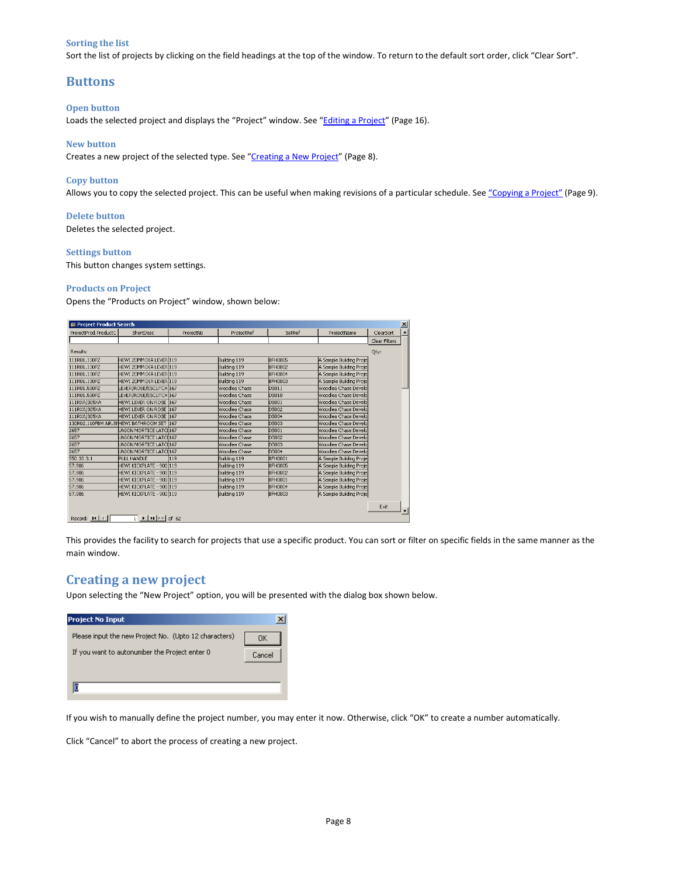### Sorting the list

Sort the list of projects by clicking on the field headings at the top of the window. To return to the default sort order, click "Clear Sort".

## Buttons

### Open button

Loads the selected project and displays the "Project" window. See "Editing a Project" (Page 16).

#### New button

Creates a new project of the selected type. See "Creating a New Project" (Page 8).

#### Copy button

Allows you to copy the selected project. This can be useful when making revisions of a particular schedule. See "Copying a Project" (Page 9).

#### Delete button

Deletes the selected project.

#### Settings button

This button changes system settings.

#### Products on Project

Opens the "Products on Project" window, shown below:

| ProjectProd.ProductC                              | ShortDesc                                                                      | ProjectNo | ProjectRef    | SetRef         | ProjectName             | ClearSort     | $\blacktriangle$ |
|---------------------------------------------------|--------------------------------------------------------------------------------|-----------|---------------|----------------|-------------------------|---------------|------------------|
|                                                   |                                                                                |           |               |                |                         | Clear Filters |                  |
| Results:                                          |                                                                                |           |               |                |                         | Qty:          |                  |
| 111R01.130PZ                                      | HEWI 20MM DIA LEVER 119                                                        |           | Building 119  | <b>BFH0005</b> | A Sample Building Proje |               |                  |
| 111R01.130PZ                                      | HEWI 20MM DIA LEVER 119                                                        |           | Building 119  | <b>BFH0002</b> | A Sample Building Proje |               |                  |
| 111R01.130PZ                                      | HEWI 20MM DIA LEVER 119                                                        |           | Building 119  | <b>BFH0004</b> | A Sample Building Proje |               |                  |
| 111R01.130PZ                                      | HEWI 20MM DIA LEVER 119                                                        |           | Building 119  | <b>BFH0003</b> | A Sample Building Proje |               |                  |
| 111R01.530PZ                                      | LEVER/ROSE/ESCUTCH 167                                                         |           | Woodlea Chase | DS011          | Woodlea Chase Develo    |               |                  |
| 111R01.530PZ                                      | LEVER/ROSE/ESCUTCH 167                                                         |           | Woodlea Chase | DS010          | Woodlea Chase Develo    |               |                  |
| 111RXA/305XA                                      | HEWI LEVER ON ROSE 167                                                         |           | Woodlea Chase | DS001          | Woodlea Chase Develo    |               |                  |
| 111RXA/305XA                                      | HEWI LEVER ON ROSE 167                                                         |           | Woodlea Chase | <b>DS002</b>   | Woodlea Chase Develo    |               |                  |
| 111RXA/305XA                                      | HEWI LEVER ON ROSE 167                                                         |           | Woodlea Chase | DS004          | Woodlea Chase Develo    |               |                  |
|                                                   | 130R02.110FBM.NR.8NHEWI BATHROOM SET 167                                       |           | Woodlea Chase | <b>DS003</b>   | Woodlea Chase Develo    |               |                  |
| 2657                                              | UNION MORTICE LATCI 167                                                        |           | Woodlea Chase | <b>DS001</b>   | Woodlea Chase Develo    |               |                  |
| 2657                                              | UNION MORTICE LATCII167                                                        |           | Woodlea Chase | <b>DS002</b>   | Woodlea Chase Develo    |               |                  |
| 2657                                              | UNION MORTICE LATCI167                                                         |           | Woodlea Chase | <b>DS003</b>   | Woodlea Chase Develo    |               |                  |
| 2657                                              | UNION MORTICE LATCI167                                                         |           | Woodlea Chase | <b>DS004</b>   | Woodlea Chase Develo    |               |                  |
| 550.33.3.1                                        | PULL HANDLE                                                                    | 119       | Building 119  | <b>BFH0001</b> | A Sample Building Proje |               |                  |
| 57.986                                            | HEWI KICKPLATE - 900 119                                                       |           | Building 119  | <b>BFH0005</b> | A Sample Building Proje |               |                  |
| 57.986                                            | HEWI KICKPLATE - 900 119                                                       |           | Building 119  | <b>BFH0002</b> | A Sample Building Proje |               |                  |
| 57.986                                            | HEWI KICKPLATE - 900 119                                                       |           | Building 119  | <b>BFH0001</b> | A Sample Building Proje |               |                  |
| 57.986                                            | HEWI KICKPLATE - 900 119                                                       |           | Building 119  | <b>BFH0004</b> | A Sample Building Proje |               |                  |
| 57.986                                            | HEWI KICKPLATE - 900 119                                                       |           | Building 119  | <b>BFH0003</b> | A Sample Building Proje |               |                  |
|                                                   |                                                                                |           |               |                |                         |               |                  |
|                                                   |                                                                                |           |               |                |                         | Exit          |                  |
| Record: $\vert \vert 4 \vert \vert 4 \vert \vert$ | $\overline{1}$ $\rightarrow$ $\overline{1}$ $\rightarrow$ $\overline{1}$ of 62 |           |               |                |                         |               |                  |

This provides the facility to search for projects that use a specific product. You can sort or filter on specific fields in the same manner as the main window.

### Creating a new project

Upon selecting the "New Project" option, you will be presented with the dialog box shown below.

| <b>Project No Input</b>                               |        |
|-------------------------------------------------------|--------|
| Please input the new Project No. (Upto 12 characters) | OΚ     |
| If you want to autonumber the Project enter 0         | Cancel |
|                                                       |        |
|                                                       |        |

If you wish to manually define the project number, you may enter it now. Otherwise, click "OK" to create a number automatically.

Click "Cancel" to abort the process of creating a new project.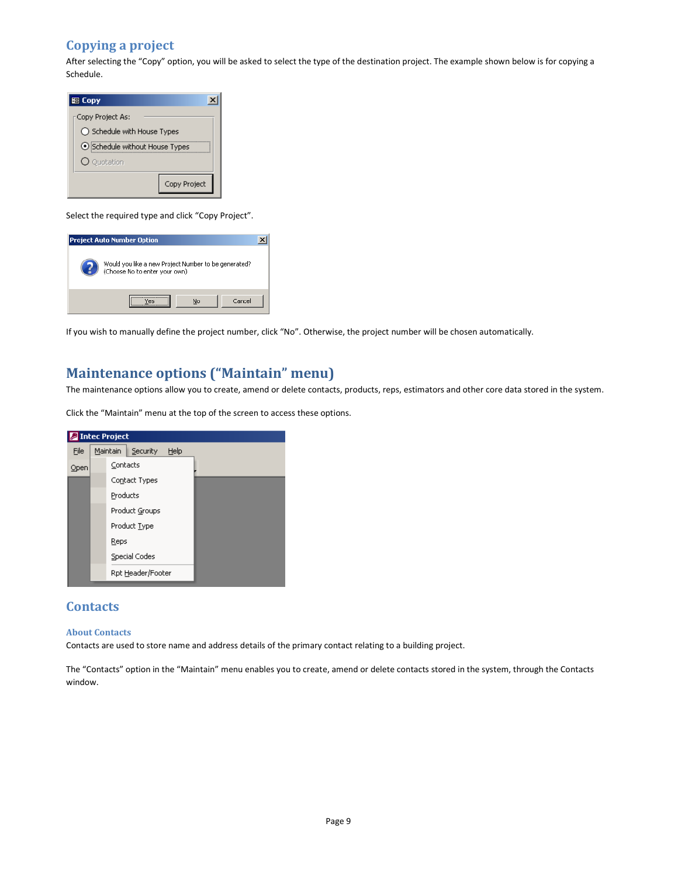# Copying a project

After selecting the "Copy" option, you will be asked to select the type of the destination project. The example shown below is for copying a Schedule.

| 图 Copy            |                                |              |
|-------------------|--------------------------------|--------------|
| :Copy Project As: |                                |              |
|                   | ◯ Schedule with House Types    |              |
|                   | ⊙ Schedule without House Types |              |
| O Quotation       |                                |              |
|                   |                                | Copy Project |

Select the required type and click "Copy Project".



If you wish to manually define the project number, click "No". Otherwise, the project number will be chosen automatically.

# Maintenance options ("Maintain" menu)

The maintenance options allow you to create, amend or delete contacts, products, reps, estimators and other core data stored in the system.

Click the "Maintain" menu at the top of the screen to access these options.



## **Contacts**

#### About Contacts

Contacts are used to store name and address details of the primary contact relating to a building project.

The "Contacts" option in the "Maintain" menu enables you to create, amend or delete contacts stored in the system, through the Contacts window.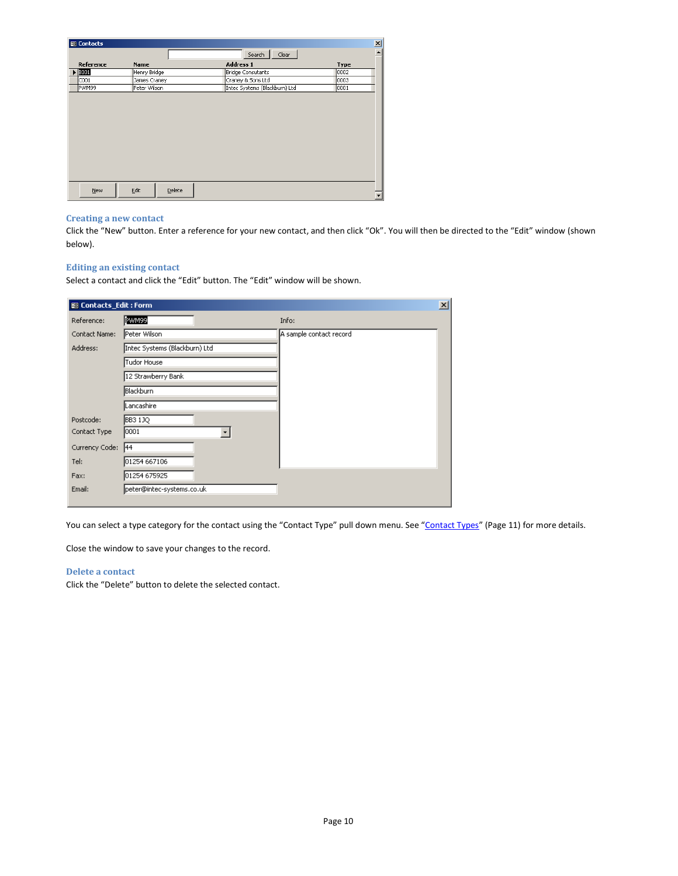| 图 Contacts            |                |                               | $\mathbf{x}$             |
|-----------------------|----------------|-------------------------------|--------------------------|
|                       |                | Clear<br>Search               | $\overline{\phantom{a}}$ |
| Reference             | Name           | Address 1                     | Type                     |
| $\triangleright$ 3001 | Henry Bridge   | Bridge Consutants             | 0002                     |
| C001                  | James Craney   | Craney & Sons Ltd             | 0003                     |
| PWM99                 | Peter Wilson   | Intec Systems (Blackburn) Ltd | 0001                     |
|                       |                |                               |                          |
|                       |                |                               |                          |
|                       |                |                               |                          |
|                       |                |                               |                          |
|                       |                |                               |                          |
|                       |                |                               |                          |
|                       |                |                               |                          |
|                       |                |                               |                          |
|                       |                |                               |                          |
|                       |                |                               |                          |
|                       |                |                               |                          |
| New                   | Edit<br>Delete |                               |                          |
|                       |                |                               |                          |

#### Creating a new contact

Click the "New" button. Enter a reference for your new contact, and then click "Ok". You will then be directed to the "Edit" window (shown below).

### Editing an existing contact

Select a contact and click the "Edit" button. The "Edit" window will be shown.

| <b>EB</b> Contacts_Edit: Form |                               |                         | $\mathbf{x}$ |
|-------------------------------|-------------------------------|-------------------------|--------------|
| Reference:                    | PWM99                         | Info:                   |              |
| Contact Name:                 | Peter Wilson                  | A sample contact record |              |
| Address:                      | Intec Systems (Blackburn) Ltd |                         |              |
|                               | Tudor House                   |                         |              |
|                               | 12 Strawberry Bank            |                         |              |
|                               | Blackburn                     |                         |              |
|                               | Lancashire                    |                         |              |
| Postcode:                     | BB3 1JQ                       |                         |              |
| Contact Type                  | 0001                          |                         |              |
| Currency Code:                | 44                            |                         |              |
| Tel:                          | 01254 667106                  |                         |              |
| Fax:                          | 01254 675925                  |                         |              |
| Email:                        | peter@intec-systems.co.uk     |                         |              |
|                               |                               |                         |              |

You can select a type category for the contact using the "Contact Type" pull down menu. See "Contact Types" (Page 11) for more details.

Close the window to save your changes to the record.

### Delete a contact

Click the "Delete" button to delete the selected contact.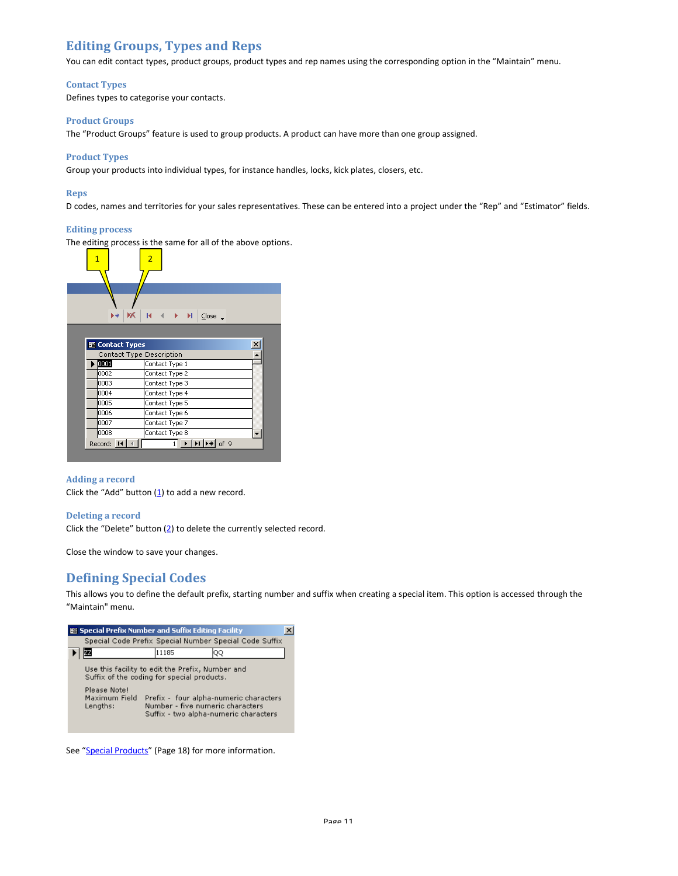# Editing Groups, Types and Reps

You can edit contact types, product groups, product types and rep names using the corresponding option in the "Maintain" menu.

### Contact Types

Defines types to categorise your contacts.

#### Product Groups

The "Product Groups" feature is used to group products. A product can have more than one group assigned.

#### Product Types

Group your products into individual types, for instance handles, locks, kick plates, closers, etc.

#### Reps

D codes, names and territories for your sales representatives. These can be entered into a project under the "Rep" and "Estimator" fields.

#### Editing process

The editing process is the same for all of the above options.



#### Adding a record

Click the "Add" button  $(1)$  to add a new record.

#### Deleting a record

Click the "Delete" button (2) to delete the currently selected record.

Close the window to save your changes.

# Defining Special Codes

This allows you to define the default prefix, starting number and suffix when creating a special item. This option is accessed through the "Maintain" menu.



See "Special Products" (Page 18) for more information.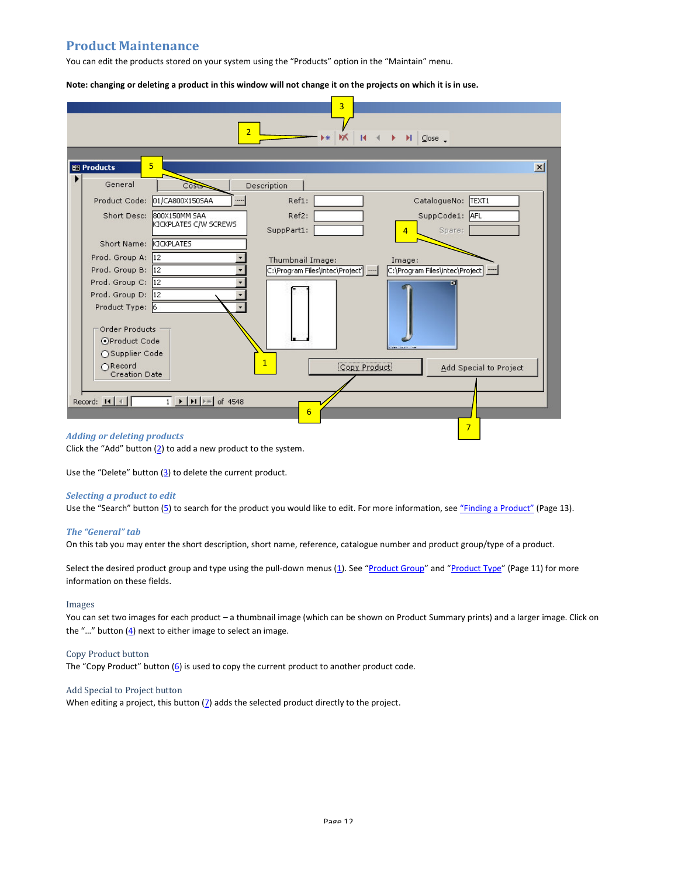# Product Maintenance

You can edit the products stored on your system using the "Products" option in the "Maintain" menu.

Note: changing or deleting a product in this window will not change it on the projects on which it is in use.



### Adding or deleting products

Click the "Add" button  $(2)$  to add a new product to the system.

Use the "Delete" button  $(3)$  to delete the current product.

#### Selecting a product to edit

Use the "Search" button (5) to search for the product you would like to edit. For more information, see "Finding a Product" (Page 13).

#### The "General" tab

On this tab you may enter the short description, short name, reference, catalogue number and product group/type of a product.

Select the desired product group and type using the pull-down menus (1). See "Product Group" and "Product Type" (Page 11) for more information on these fields.

#### Images

You can set two images for each product – a thumbnail image (which can be shown on Product Summary prints) and a larger image. Click on the "..." button  $(4)$  next to either image to select an image.

#### Copy Product button

The "Copy Product" button  $(6)$  is used to copy the current product to another product code.

#### Add Special to Project button

When editing a project, this button  $(7)$  adds the selected product directly to the project.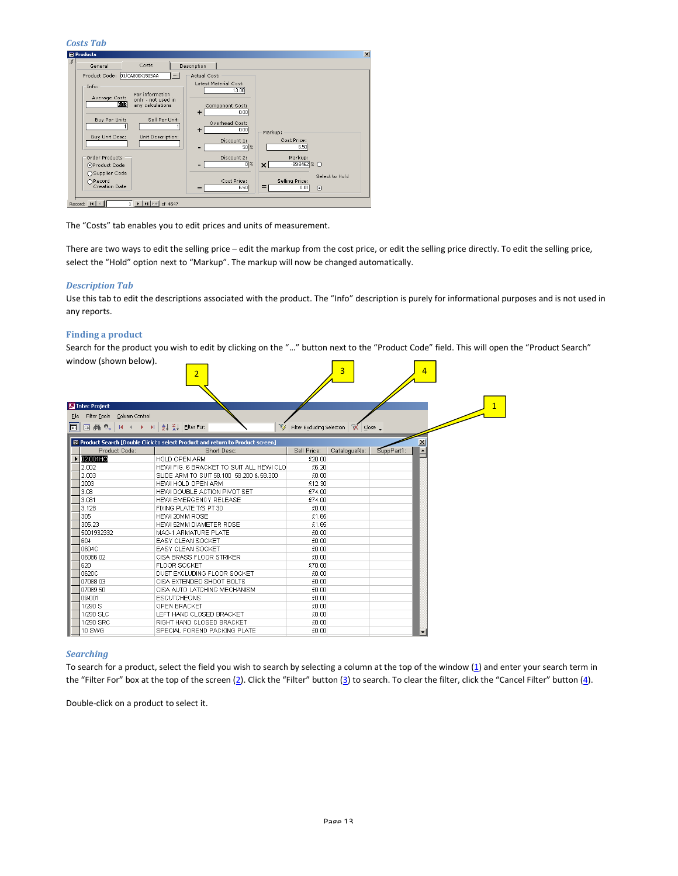### Costs Tab

| <b>BB</b> Products              |                                                                  |                                                                      |  |
|---------------------------------|------------------------------------------------------------------|----------------------------------------------------------------------|--|
| General                         | Costs                                                            | Description                                                          |  |
| Product Code: 01/CA800X150SAA   |                                                                  | Actual Cost:                                                         |  |
| Info:                           |                                                                  | Latest Material Cost:                                                |  |
| Average Cost:                   | For information<br>only - not used in                            | 13.00                                                                |  |
| 6.03                            | any calculations                                                 | Component Cost:<br>0.00<br>۰                                         |  |
| Buy Per Unit:                   | Sell Per Unit:                                                   | Overhead Cost:<br>0.00<br>÷<br>Markup:                               |  |
| Buy Unit Desc:                  | Unit Description:                                                | Cost Price:<br>Discount 1:<br>6.50<br>$50\%$                         |  |
| Order Products                  |                                                                  | Markup:<br>Discount 2:                                               |  |
| OProduct Code                   |                                                                  | $\overline{0}$ %<br>$-99.8462 \times $<br>$\boldsymbol{\mathsf{x}}$  |  |
| ○ Supplier Code                 |                                                                  | Select to Hold                                                       |  |
| ∩Record<br><b>Creation Date</b> |                                                                  | Cost Price:<br>Selling Price:<br>=<br>6.50<br>0.01<br>$\odot$<br>$=$ |  |
| Record: 14                      | $\triangleright$   $\triangleright$   $\triangleright$   of 4547 |                                                                      |  |

The "Costs" tab enables you to edit prices and units of measurement.

There are two ways to edit the selling price – edit the markup from the cost price, or edit the selling price directly. To edit the selling price, select the "Hold" option next to "Markup". The markup will now be changed automatically.

#### Description Tab

Use this tab to edit the descriptions associated with the product. The "Info" description is purely for informational purposes and is not used in any reports.

#### Finding a product

Search for the product you wish to edit by clicking on the "…" button next to the "Product Code" field. This will open the "Product Search" window (shown below).

| WILLOW (SHOWH DEIGW).<br>Intec Project               | $\overline{2}$                                                                 |                            | 3            |            | $\overline{4}$       |  |
|------------------------------------------------------|--------------------------------------------------------------------------------|----------------------------|--------------|------------|----------------------|--|
|                                                      |                                                                                |                            |              |            |                      |  |
| Filter Tools Column Control<br>File                  |                                                                                |                            |              |            |                      |  |
| 国鹬 <sup>6</sup> . IK K ▶ H   A   X   Elter For:<br>圃 |                                                                                | Filter Excluding Selection | ■ Sose       |            |                      |  |
|                                                      | E Product Search [Double Click to select Product and return to Product screen] |                            |              |            | $\vert x \vert$      |  |
| Product Code:                                        | Short Desc:                                                                    | Sell Price:                | CatalogueNo: | SuppPart1: | $\blacktriangle$     |  |
| 02.001HO                                             | <b>HOLD OPEN ARM</b>                                                           | £20.00                     |              |            |                      |  |
| 2.002                                                | HEWI FIG. 6 BRACKET TO SUIT ALL HEWI CLO                                       | £6.20                      |              |            |                      |  |
| 2.003                                                | SLIDE ARM TO SUIT 58,100 58,200 & 58,300                                       | £0.00                      |              |            |                      |  |
| 2003                                                 | HEWI HOLD OPEN ARM                                                             | £12.30                     |              |            |                      |  |
| 3.08                                                 | HEWI DOUBLE ACTION PIVOT SET                                                   | £74.00                     |              |            |                      |  |
| 3.081                                                | HEWI EMERGENCY RELEASE                                                         | £74.00                     |              |            |                      |  |
| 3.128                                                | FIXING PLATE T/S PT 30                                                         | £0.00                      |              |            |                      |  |
| 305                                                  | HEWI 20MM ROSE                                                                 | £1.65                      |              |            |                      |  |
| 305.23                                               | HEWI 52MM DIAMETER ROSE                                                        | £1.65                      |              |            |                      |  |
| 5001932332                                           | MAG-1 ARMATURE PLATE                                                           | £0.00                      |              |            |                      |  |
| 604                                                  | EASY CLEAN SOCKET                                                              | £0.00                      |              |            |                      |  |
| 0604C                                                | EASY CLEAN SOCKET                                                              | £0.00                      |              |            |                      |  |
| 06086 02                                             | CISA BRASS FLOOR STRIKER                                                       | £0.00                      |              |            |                      |  |
| 620                                                  | <b>FLOOR SOCKET</b>                                                            | £70.00                     |              |            |                      |  |
| 0620C                                                | DUST EXCLUDING FLOOR SOCKET                                                    | £0.00                      |              |            |                      |  |
| 07088 03                                             | CISA EXTENDED SHOOT BOLTS                                                      | £0.00                      |              |            |                      |  |
| 07089 50                                             | CISA AUTO LATCHING MECHANISM                                                   | £0.00                      |              |            |                      |  |
| 09/001                                               | <b>ESCUTCHEONS</b>                                                             | £0.00                      |              |            |                      |  |
| 1/290 S                                              | OPEN BRACKET                                                                   | £0.00                      |              |            |                      |  |
| 1/290 SLC                                            | LEFT HAND CLOSED BRACKET                                                       | £0.00                      |              |            |                      |  |
| 1/290 SRC                                            | RIGHT HAND CLOSED BRACKET                                                      | £0.00                      |              |            |                      |  |
| 10 SWG                                               | SPECIAL FOREND PACKING PLATE                                                   | £0.00                      |              |            | $\blacktriangledown$ |  |

#### **Searching**

To search for a product, select the field you wish to search by selecting a column at the top of the window  $(1)$  and enter your search term in the "Filter For" box at the top of the screen (2). Click the "Filter" button (3) to search. To clear the filter, click the "Cancel Filter" button (4).

Double-click on a product to select it.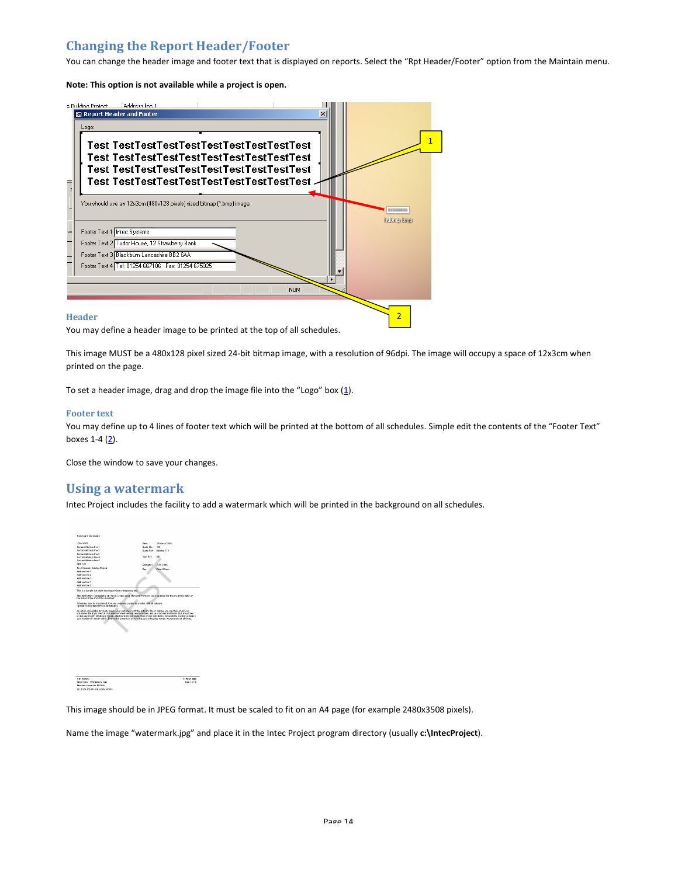# Changing the Report Header/Footer

You can change the header image and footer text that is displayed on reports. Select the "Rpt Header/Footer" option from the Maintain menu.

Note: This option is not available while a project is open.



You may define a header image to be printed at the top of all schedules.

This image MUST be a 480x128 pixel sized 24-bit bitmap image, with a resolution of 96dpi. The image will occupy a space of 12x3cm when printed on the page.

To set a header image, drag and drop the image file into the "Logo" box  $(1)$ .

#### Footer text

You may define up to 4 lines of footer text which will be printed at the bottom of all schedules. Simple edit the contents of the "Footer Text" boxes  $1-4$   $(2)$ .

Close the window to save your changes.

### Using a watermark

Intec Project includes the facility to add a watermark which will be printed in the background on all schedules.



31 Naise 2009<br>- Page Lorid

This image should be in JPEG format. It must be scaled to fit on an A4 page (for example 2480x3508 pixels).

Name the image "watermark.jpg" and place it in the Intec Project program directory (usually c:\IntecProject).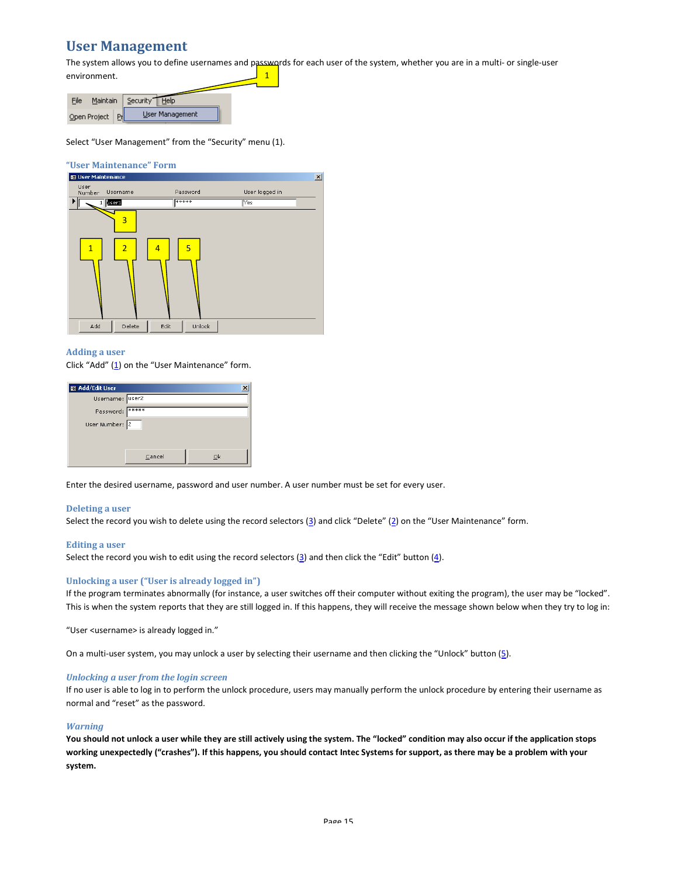# User Management

The system allows you to define usernames and passwords for each user of the system, whether you are in a multi- or single-user environment.  $\overline{1}$ 

| Maintain<br>File | Security<br>Help |  |
|------------------|------------------|--|
| Open Project     | User Management  |  |

Select "User Management" from the "Security" menu (1).

# **"User Maintenance" Form**<br>**B** User Maintenance



#### Adding a user

Click "Add"  $(1)$  on the "User Maintenance" form.

| 图 Add/Edit User        |        |    |
|------------------------|--------|----|
| Username: <u>User2</u> |        |    |
| Password: *****        |        |    |
| User Number: 2         |        |    |
|                        |        |    |
|                        |        |    |
|                        | Cancel | Οk |

Enter the desired username, password and user number. A user number must be set for every user.

#### Deleting a user

Select the record you wish to delete using the record selectors  $(3)$  and click "Delete"  $(2)$  on the "User Maintenance" form.

#### Editing a user

Select the record you wish to edit using the record selectors  $(3)$  and then click the "Edit" button  $(4)$ .

#### Unlocking a user ("User is already logged in")

If the program terminates abnormally (for instance, a user switches off their computer without exiting the program), the user may be "locked". This is when the system reports that they are still logged in. If this happens, they will receive the message shown below when they try to log in:

"User <username> is already logged in."

On a multi-user system, you may unlock a user by selecting their username and then clicking the "Unlock" button (5).

#### Unlocking a user from the login screen

If no user is able to log in to perform the unlock procedure, users may manually perform the unlock procedure by entering their username as normal and "reset" as the password.

#### **Warning**

You should not unlock a user while they are still actively using the system. The "locked" condition may also occur if the application stops working unexpectedly ("crashes"). If this happens, you should contact Intec Systems for support, as there may be a problem with your system.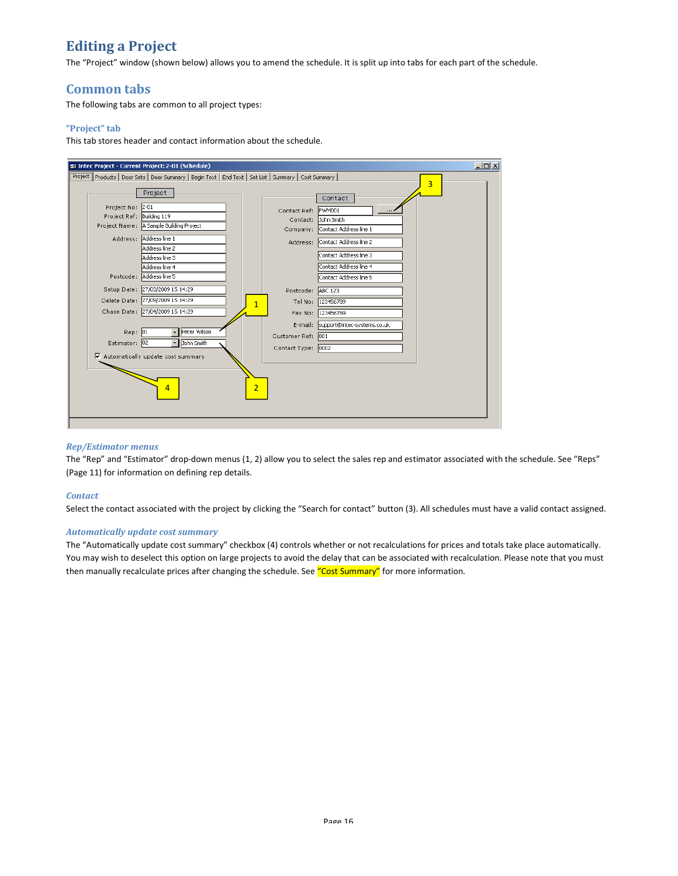# Editing a Project

The "Project" window (shown below) allows you to amend the schedule. It is split up into tabs for each part of the schedule.

# Common tabs

The following tabs are common to all project types:

### "Project" tab

This tab stores header and contact information about the schedule.



#### Rep/Estimator menus

The "Rep" and "Estimator" drop-down menus (1, 2) allow you to select the sales rep and estimator associated with the schedule. See "Reps" (Page 11) for information on defining rep details.

#### **Contact**

Select the contact associated with the project by clicking the "Search for contact" button (3). All schedules must have a valid contact assigned.

#### Automatically update cost summary

The "Automatically update cost summary" checkbox (4) controls whether or not recalculations for prices and totals take place automatically. You may wish to deselect this option on large projects to avoid the delay that can be associated with recalculation. Please note that you must then manually recalculate prices after changing the schedule. See "Cost Summary" for more information.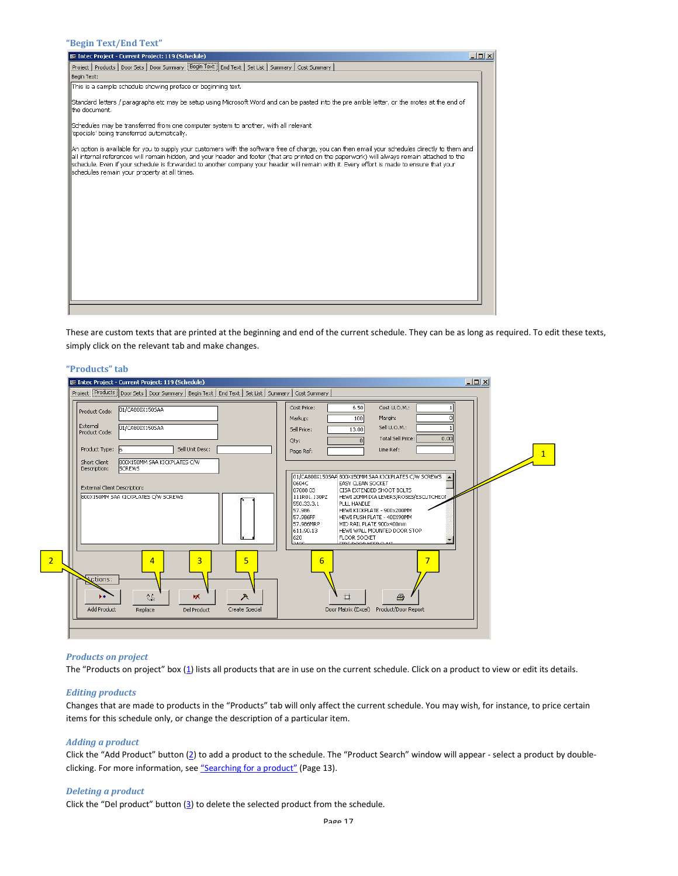#### "Begin Text/End Text"

| $  $ o $  \times  $<br>E Intec Project - Current Project: 119 (Schedule)                                                                                                                                                                                                                                                                                                                                                                                                                       |  |
|------------------------------------------------------------------------------------------------------------------------------------------------------------------------------------------------------------------------------------------------------------------------------------------------------------------------------------------------------------------------------------------------------------------------------------------------------------------------------------------------|--|
| Project   Products   Door Sets   Door Summary   Begin Text   End Text   Set List   Summary   Cost Summary                                                                                                                                                                                                                                                                                                                                                                                      |  |
| Begin Text:                                                                                                                                                                                                                                                                                                                                                                                                                                                                                    |  |
| This is a sample schedule showing preface or beginning text.                                                                                                                                                                                                                                                                                                                                                                                                                                   |  |
| Standard letters / paragraphs etc may be setup using Microsoft Word and can be pasted into the pre amble letter, or the motes at the end of<br>the document.                                                                                                                                                                                                                                                                                                                                   |  |
| Schedules may be transferred from one computer system to another, with all relevant<br>specials' being transferred automatically.                                                                                                                                                                                                                                                                                                                                                              |  |
| An option is available for you to supply your customers with the software free of charge, you can then email your schedules directly to them and<br>all internal references will remain hidden, and your header and footer (that are printed on the paperwork) will always remain attached to the<br>schedule. Even if your schedule is forwarded to another company your header will remain with it. Every effort is made to ensure that your<br>schedules remain your property at all times. |  |
|                                                                                                                                                                                                                                                                                                                                                                                                                                                                                                |  |
|                                                                                                                                                                                                                                                                                                                                                                                                                                                                                                |  |
|                                                                                                                                                                                                                                                                                                                                                                                                                                                                                                |  |

These are custom texts that are printed at the beginning and end of the current schedule. They can be as long as required. To edit these texts, simply click on the relevant tab and make changes.

#### "Products" tab

| 01/CA800X150SAA<br>Product Code:<br>External<br>01/CA800X150SAA<br>Product Code:                                                                                                           | Cost Price:<br>6,50<br>Cost U.O.M.:<br>Margin:<br>100<br>Markup:<br>Sell U.O.M.:<br>13.00<br>Sell Price:<br>0.00<br>Total Sell Price:<br>Qty:                                                                                                                                                                                                                                                                                                                                     |
|--------------------------------------------------------------------------------------------------------------------------------------------------------------------------------------------|-----------------------------------------------------------------------------------------------------------------------------------------------------------------------------------------------------------------------------------------------------------------------------------------------------------------------------------------------------------------------------------------------------------------------------------------------------------------------------------|
| Sell Unit Desc:<br>Product Type: 6<br>800X150MM SAA KICKPLATES C/W<br>Short Client<br><b>SCREWS</b><br>Description:<br>External Client Description:<br>800X150MM SAA KICKPLATES C/W SCREWS | Line Ref:<br>Page Ref:<br>01/CA800X150SAA 800X150MM SAA KICKPLATES C/W SCREWS<br>0604C<br>EASY CLEAN SOCKET<br>107088.03.<br>CISA EXTENDED SHOOT BOLTS<br>111R01.130PZ<br>HEWI 20MM DIA LEVERS/ROSES/ESCUTCHEO!<br>550.33.3.1<br>PULL HANDLE<br>57.986<br>HEWI KICKPLATE - 900x200MM<br>57.986FP<br>HEWI PUSH PLATE - 400X90MM<br>57.986MRP<br>MID RAIL PLATE 900x400mm<br>611.90.13<br>HEWI WALL MOUNTED DOOR STOP<br>620<br><b>FLOOR SOCKET</b><br>عميجا<br>EIRE DOOR KEER GUUT |
| 5<br>3<br>$\overline{4}$<br><b>Actions:</b><br>$\Lambda_{\rm IR}$<br>ж<br>入<br>Add Product<br>Replace<br>Del Product<br>Create Special                                                     | $\overline{7}$<br>6<br>耳<br>马<br>Product/Door Report<br>Door Matrix (Excel)                                                                                                                                                                                                                                                                                                                                                                                                       |

#### Products on project

2

The "Products on project" box (1) lists all products that are in use on the current schedule. Click on a product to view or edit its details.

#### Editing products

Changes that are made to products in the "Products" tab will only affect the current schedule. You may wish, for instance, to price certain items for this schedule only, or change the description of a particular item.

### Adding a product

Click the "Add Product" button (2) to add a product to the schedule. The "Product Search" window will appear - select a product by doubleclicking. For more information, see "Searching for a product" (Page 13).

#### Deleting a product

Click the "Del product" button  $(3)$  to delete the selected product from the schedule.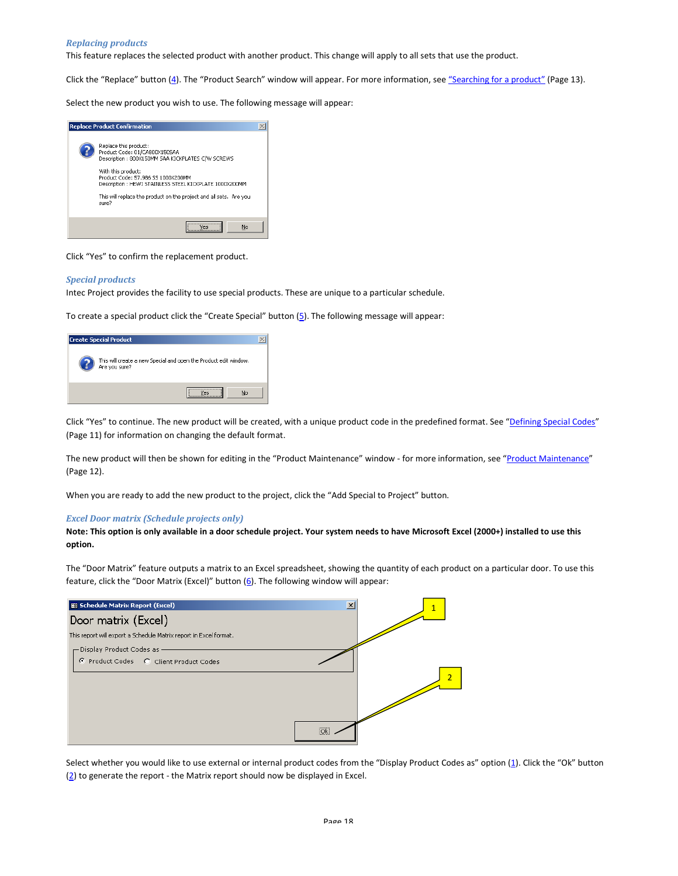#### Replacing products

This feature replaces the selected product with another product. This change will apply to all sets that use the product.

Click the "Replace" button (4). The "Product Search" window will appear. For more information, see "Searching for a product" (Page 13).

Select the new product you wish to use. The following message will appear:



Click "Yes" to confirm the replacement product.

#### Special products

Intec Project provides the facility to use special products. These are unique to a particular schedule.

To create a special product click the "Create Special" button  $(5)$ . The following message will appear:

| <b>Create Special Product</b>                                                     |  |
|-----------------------------------------------------------------------------------|--|
| This will create a new Special and open the Product edit window.<br>Are you sure? |  |
| No<br>P <sub>c</sub>                                                              |  |

Click "Yes" to continue. The new product will be created, with a unique product code in the predefined format. See "Defining Special Codes" (Page 11) for information on changing the default format.

The new product will then be shown for editing in the "Product Maintenance" window - for more information, see "Product Maintenance" (Page 12).

When you are ready to add the new product to the project, click the "Add Special to Project" button.

#### Excel Door matrix (Schedule projects only)

Note: This option is only available in a door schedule project. Your system needs to have Microsoft Excel (2000+) installed to use this option.

The "Door Matrix" feature outputs a matrix to an Excel spreadsheet, showing the quantity of each product on a particular door. To use this feature, click the "Door Matrix (Excel)" button  $(6)$ . The following window will appear:



Select whether you would like to use external or internal product codes from the "Display Product Codes as" option (1). Click the "Ok" button  $(2)$  to generate the report - the Matrix report should now be displayed in Excel.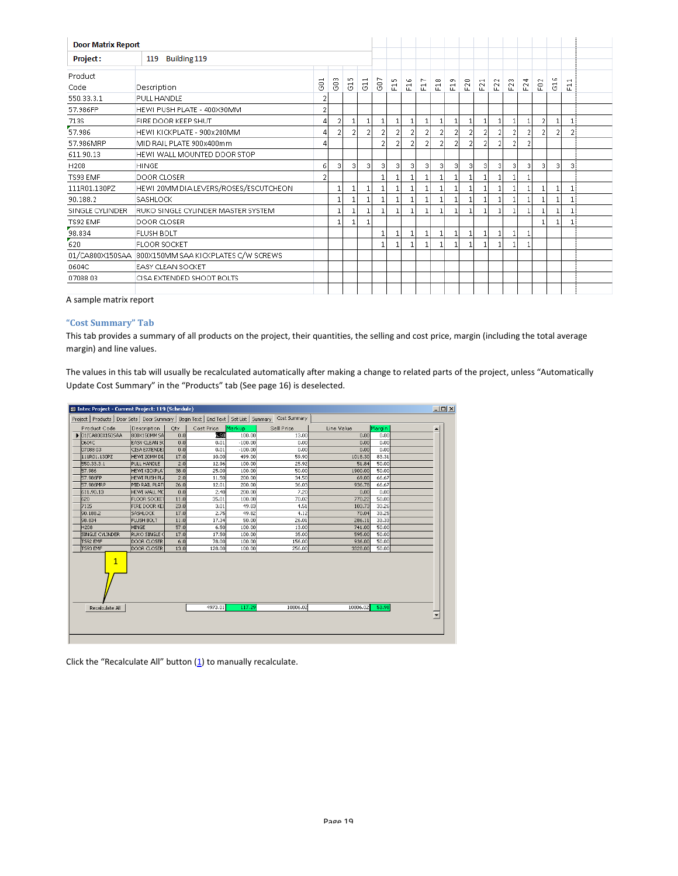| <b>Door Matrix Report</b> |                                                     |             |   |     |                          |     |                   |                |                |                |                |     |     |        |   |   |                  |   |                          |  |
|---------------------------|-----------------------------------------------------|-------------|---|-----|--------------------------|-----|-------------------|----------------|----------------|----------------|----------------|-----|-----|--------|---|---|------------------|---|--------------------------|--|
| <b>Project:</b>           | Building 119<br>119                                 |             |   |     |                          |     |                   |                |                |                |                |     |     |        |   |   |                  |   |                          |  |
| Product                   |                                                     | $\mathbf -$ | m | LO. | $\overline{\phantom{0}}$ |     |                   | G              | ∼              | $_{\infty}$    | o              |     |     | $\sim$ | m | ਚ |                  | G | $\overline{\phantom{0}}$ |  |
| Code                      | Description                                         | 8           | 8 | 5   | 5                        | G07 | E15               | 륜              | 륜              | 륜              | 문              | F20 | F21 | 윤      | 윤 | 윤 | F <sub>0</sub> 2 | 5 | 륜                        |  |
| 550.33.3.1                | PULL HANDLE                                         | 2           |   |     |                          |     |                   |                |                |                |                |     |     |        |   |   |                  |   |                          |  |
| 57.986FP                  | HEWI PUSH PLATE - 400X90MM                          | 2           |   |     |                          |     |                   |                |                |                |                |     |     |        |   |   |                  |   |                          |  |
| 713S                      | FIRE DOOR KEEP SHUT                                 | 4           | 2 |     | 1                        | 1   | 1                 | $\mathbf{1}$   | 1              | $\mathbf{1}$   | 1              | 1   | 1   | 1      | 1 |   | 2                | 1 | $\mathbf{1}$             |  |
| 57.986                    | HEWI KICKPLATE - 900x200MM                          |             | 2 |     | 2                        | 2   | 2                 | 2              | $\overline{2}$ | 2              | 2              | 2   | 2   | 2      | 2 |   |                  | 2 | 21                       |  |
| 57.986MRP                 | MID RAIL PLATE 900x400mm                            | 4           |   |     |                          | 2   | $\overline{2}$    | $\overline{2}$ | $\overline{2}$ | $\overline{2}$ | $\overline{2}$ | 2   | 2   | 2      | 2 | 2 |                  |   |                          |  |
| 611.90.13                 | HEWI WALL MOUNTED DOOR STOP                         |             |   |     |                          |     |                   |                |                |                |                |     |     |        |   |   |                  |   |                          |  |
| H208                      | <b>HINGE</b>                                        | 6           | 3 | 3   | 3                        | 3   | $\lvert 3 \rvert$ | 3              | $\lvert$       | 3              | 31             | 3   | 3   | 3      | з | 3 | 3                | 3 | 3                        |  |
| TS93 EMF                  | <b>DOOR CLOSER</b>                                  | 2           |   |     |                          |     |                   |                |                |                |                |     |     |        |   |   |                  |   |                          |  |
| 111R01.130PZ              | HEWI 20MM DIA LEVERS/ROSES/ESCUTCHEON               |             |   |     |                          |     |                   |                |                |                |                | 1   | 1   | 1      |   |   |                  |   |                          |  |
| 90.188.2                  | SASHLOCK                                            |             |   |     |                          |     |                   |                |                |                |                |     |     |        |   |   |                  |   | 1                        |  |
| SINGLE CYLINDER           | RUKO SINGLE CYLINDER MASTER SYSTEM                  |             |   |     |                          |     | 1                 |                |                | 1              | 1              | 1   | 1   | 1      |   |   |                  |   |                          |  |
| TS92 EMF                  | DOOR CLOSER                                         |             |   |     |                          |     |                   |                |                |                |                |     |     |        |   |   |                  |   | $\mathbf{1}$             |  |
| 98.834                    | <b>FLUSH BOLT</b>                                   |             |   |     |                          |     |                   |                |                |                | 1              | 1   | 1   | 1      |   |   |                  |   |                          |  |
| 620                       | <b>FLOOR SOCKET</b>                                 |             |   |     |                          | 1   |                   |                |                |                |                | 1   | 1   | 1      |   |   |                  |   |                          |  |
|                           | 01/CA800X150SAA 800X150MM SAA KICKPLATES C/W SCREWS |             |   |     |                          |     |                   |                |                |                |                |     |     |        |   |   |                  |   |                          |  |
| 0604C                     | <b>EASY CLEAN SOCKET</b>                            |             |   |     |                          |     |                   |                |                |                |                |     |     |        |   |   |                  |   |                          |  |
| 0708803                   | CISA EXTENDED SHOOT BOLTS                           |             |   |     |                          |     |                   |                |                |                |                |     |     |        |   |   |                  |   |                          |  |
|                           |                                                     |             |   |     |                          |     |                   |                |                |                |                |     |     |        |   |   |                  |   |                          |  |

A sample matrix report

### "Cost Summary" Tab

This tab provides a summary of all products on the project, their quantities, the selling and cost price, margin (including the total average margin) and line values.

The values in this tab will usually be recalculated automatically after making a change to related parts of the project, unless "Automatically Update Cost Summary" in the "Products" tab (See page 16) is deselected.

| <b>E Intec Project - Current Project: 119 (Schedule)</b> |                      |      |            |           |                                                                                                         |            |        | 口回り                      |
|----------------------------------------------------------|----------------------|------|------------|-----------|---------------------------------------------------------------------------------------------------------|------------|--------|--------------------------|
|                                                          |                      |      |            |           | Project   Products   Door Sets   Door Summary   Begin Text   End Text   Set List   Summary Cost Summary |            |        |                          |
| Product Code                                             | Description          | Qty  | Cost Price | Markup    | Sell Price                                                                                              | Line Value | Margin |                          |
| $\triangleright$ 01/CA800X150SAA                         | 800X150MM SA         | 0.0  | 5.50       | 100.00    | 13.00                                                                                                   | 0.00       | 0.00   |                          |
| 0604C                                                    | EASY CLEAN SC        | 0.0  | 0.01       | $-100.00$ | 0.00                                                                                                    | 0.00       | 0.00   |                          |
| 07088 03                                                 | <b>CISA EXTENDED</b> | 0,0  | 0.01       | $-100.00$ | 0.00                                                                                                    | 0.00       | 0.00   |                          |
| 111R01.130PZ                                             | HEWI 20MM DI         | 17.0 | 10.00      | 499.00    | 59.90                                                                                                   | 1018.30    | 83.31  |                          |
| 550.33.3.1                                               | PULL HANDLE          | 2.0  | 12.96      | 100.00    | 25.92                                                                                                   | 51.84      | 50.00  |                          |
| 57.986                                                   | HEWI KICKPLA"        | 38.0 | 25.00      | 100.00    | 50.00                                                                                                   | 1900.00    | 50.00  |                          |
| 57.986FP                                                 | HEWI PUSH PLA        | 2.0  | 11.50      | 200.00    | 34.50                                                                                                   | 69.00      | 66.67  |                          |
| 57.986MRP                                                | MID RAIL PLATI       | 26.0 | 12.01      | 200.00    | 36.03                                                                                                   | 936.78     | 66.67  |                          |
| 611.90.13                                                | <b>HEWI WALL MC</b>  | 0.0  | 2.40       | 200.00    | 7.20                                                                                                    | 0.00       | 0.00   |                          |
| 620                                                      | <b>FLOOR SOCKET</b>  | 11.0 | 35.01      | 100.00    | 70.02                                                                                                   | 770.22     | 50.00  |                          |
| 7135                                                     | <b>FIRE DOOR KEE</b> | 23.0 | 3.01       | 49.83     | 4.51                                                                                                    | 103.73     | 33.26  |                          |
| 90.188.2                                                 | <b>SASHLOCK</b>      | 17.0 | 2.75       | 49.82     | 4.12                                                                                                    | 70.04      | 33.25  |                          |
| 98.834                                                   | <b>FLUSH BOLT</b>    | 11.0 | 17.34      | 50.00     | 26.01                                                                                                   | 286.11     | 33.33  |                          |
| H208                                                     | <b>HINGE</b>         | 57.0 | 6.50       | 100.00    | 13.00                                                                                                   | 741.00     | 50.00  |                          |
| SINGLE CYLINDER                                          | RUKO SINGLE (        | 17.0 | 17.50      | 100.00    | 35.00                                                                                                   | 595.00     | 50.00  |                          |
| TS92 EMF                                                 | DOOR CLOSER          | 6.0  | 78.00      | 100.00    | 156.00                                                                                                  | 936.00     | 50.00  |                          |
| TS93 EMF                                                 | DOOR CLOSER          | 13.0 | 128.00     | 100.00    | 256.00                                                                                                  | 3328.00    | 50.00  |                          |
| $\mathbf{1}$                                             |                      |      |            |           |                                                                                                         |            |        |                          |
| Recalculate All                                          |                      |      | 4973.01    | 117.29    | 10806.02                                                                                                | 10806.02   | 53.98  | $\overline{\phantom{a}}$ |
|                                                          |                      |      |            |           |                                                                                                         |            |        |                          |

Click the "Recalculate All" button  $(1)$  to manually recalculate.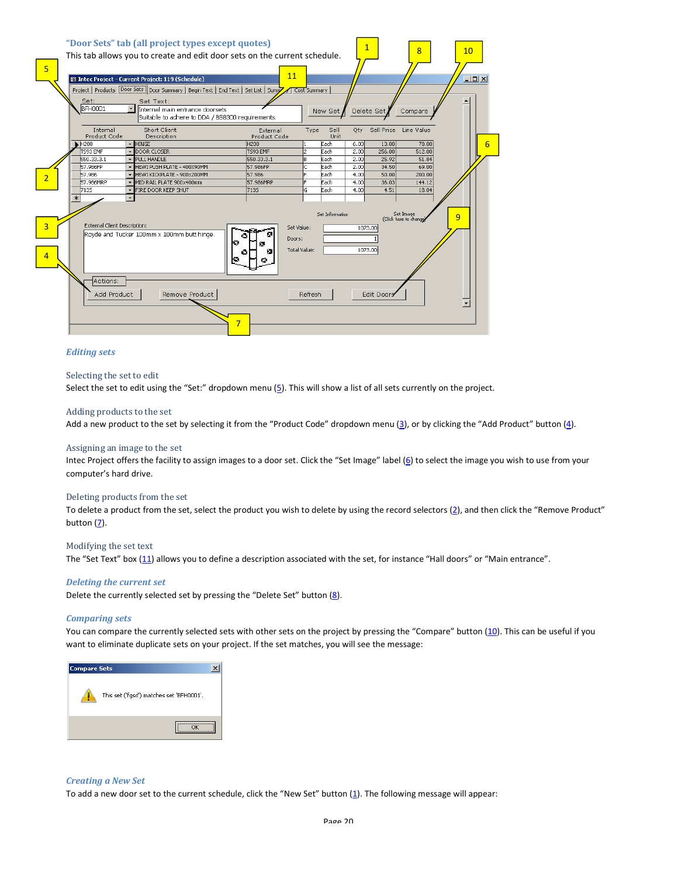

#### Editing sets

#### Selecting the set to edit

Select the set to edit using the "Set:" dropdown menu  $(5)$ . This will show a list of all sets currently on the project.

#### Adding products to the set

Add a new product to the set by selecting it from the "Product Code" dropdown menu  $(3)$ , or by clicking the "Add Product" button  $(4)$ .

#### Assigning an image to the set

Intec Project offers the facility to assign images to a door set. Click the "Set Image" label (6) to select the image you wish to use from your computer's hard drive.

#### Deleting products from the set

To delete a product from the set, select the product you wish to delete by using the record selectors (2), and then click the "Remove Product" button (7).

#### Modifying the set text

The "Set Text" box (11) allows you to define a description associated with the set, for instance "Hall doors" or "Main entrance".

#### Deleting the current set

Delete the currently selected set by pressing the "Delete Set" button  $(8)$ .

#### Comparing sets

You can compare the currently selected sets with other sets on the project by pressing the "Compare" button (10). This can be useful if you want to eliminate duplicate sets on your project. If the set matches, you will see the message:



#### Creating a New Set

To add a new door set to the current schedule, click the "New Set" button (1). The following message will appear: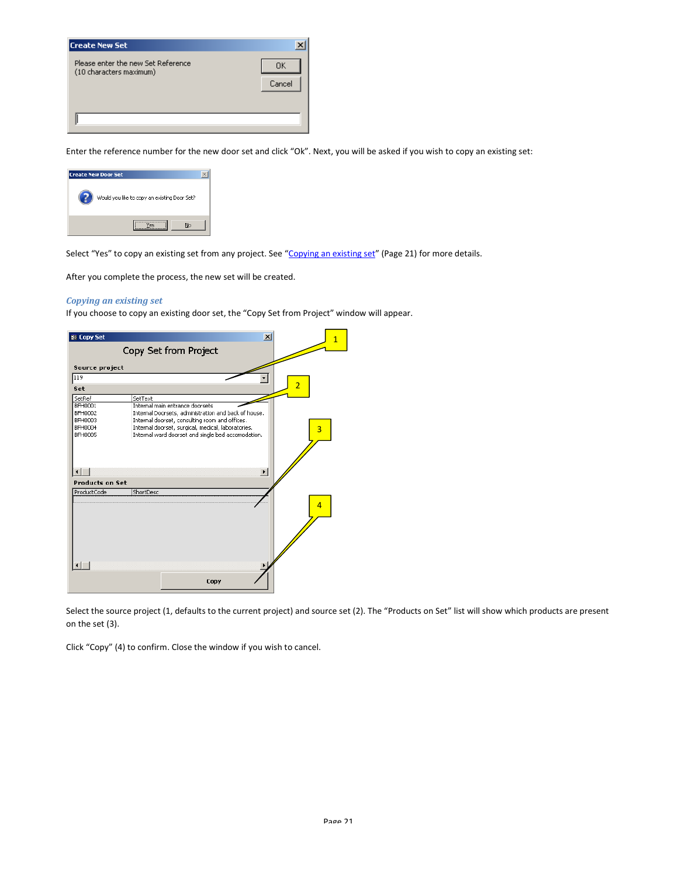| Create New Set                                                |        |
|---------------------------------------------------------------|--------|
| Please enter the new Set Reference<br>(10 characters maximum) | 0K.    |
|                                                               | Cancel |
|                                                               |        |
|                                                               |        |
|                                                               |        |

Enter the reference number for the new door set and click "Ok". Next, you will be asked if you wish to copy an existing set:



Select "Yes" to copy an existing set from any project. See "Copying an existing set" (Page 21) for more details.

After you complete the process, the new set will be created.

#### Copying an existing set

If you choose to copy an existing door set, the "Copy Set from Project" window will appear.



Select the source project (1, defaults to the current project) and source set (2). The "Products on Set" list will show which products are present on the set (3).

Click "Copy" (4) to confirm. Close the window if you wish to cancel.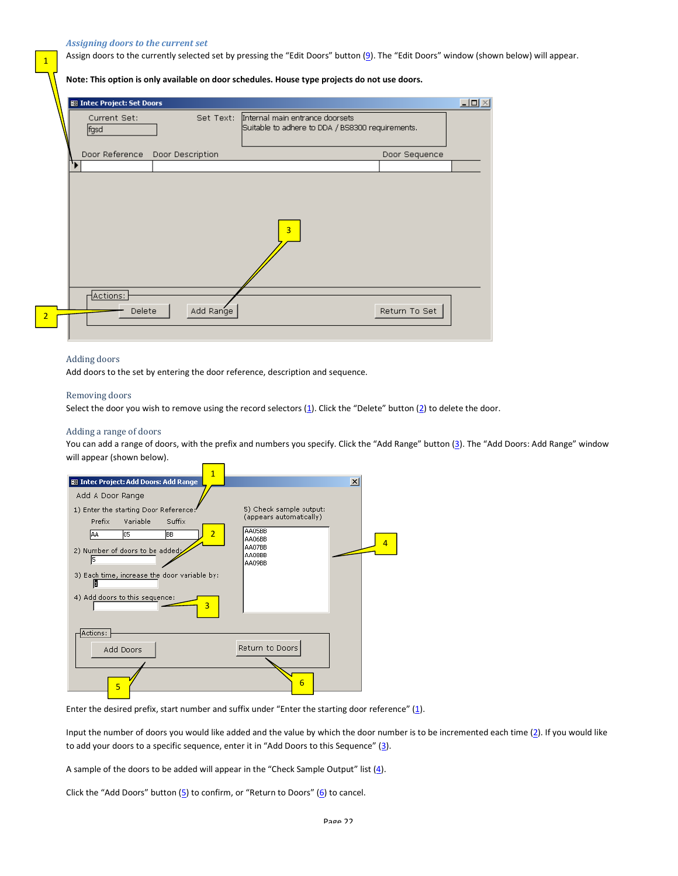#### Assigning doors to the current set

1

Assign doors to the currently selected set by pressing the "Edit Doors" button (9). The "Edit Doors" window (shown below) will appear.

Note: This option is only available on door schedules. House type projects do not use doors.

| Current Set:       | Set Text:                       | Internal main entrance doorsets                  |
|--------------------|---------------------------------|--------------------------------------------------|
| fgsd               |                                 | Suitable to adhere to DDA / BS8300 requirements. |
|                    | Door Reference Door Description | Door Sequence                                    |
|                    |                                 |                                                  |
|                    |                                 |                                                  |
|                    |                                 |                                                  |
|                    |                                 |                                                  |
|                    |                                 |                                                  |
|                    |                                 |                                                  |
|                    |                                 | 3                                                |
|                    |                                 |                                                  |
|                    |                                 |                                                  |
|                    |                                 |                                                  |
|                    |                                 |                                                  |
|                    |                                 |                                                  |
| Actions:<br>Delete | Add Range                       | Return To Set                                    |

#### Adding doors

Add doors to the set by entering the door reference, description and sequence.

#### Removing doors

Select the door you wish to remove using the record selectors  $(1)$ . Click the "Delete" button  $(2)$  to delete the door.

#### Adding a range of doors

You can add a range of doors, with the prefix and numbers you specify. Click the "Add Range" button (3). The "Add Doors: Add Range" window will appear (shown below).



Enter the desired prefix, start number and suffix under "Enter the starting door reference"  $(1)$ .

Input the number of doors you would like added and the value by which the door number is to be incremented each time  $(2)$ . If you would like to add your doors to a specific sequence, enter it in "Add Doors to this Sequence" (3).

A sample of the doors to be added will appear in the "Check Sample Output" list  $(4)$ .

Click the "Add Doors" button  $(5)$  to confirm, or "Return to Doors"  $(6)$  to cancel.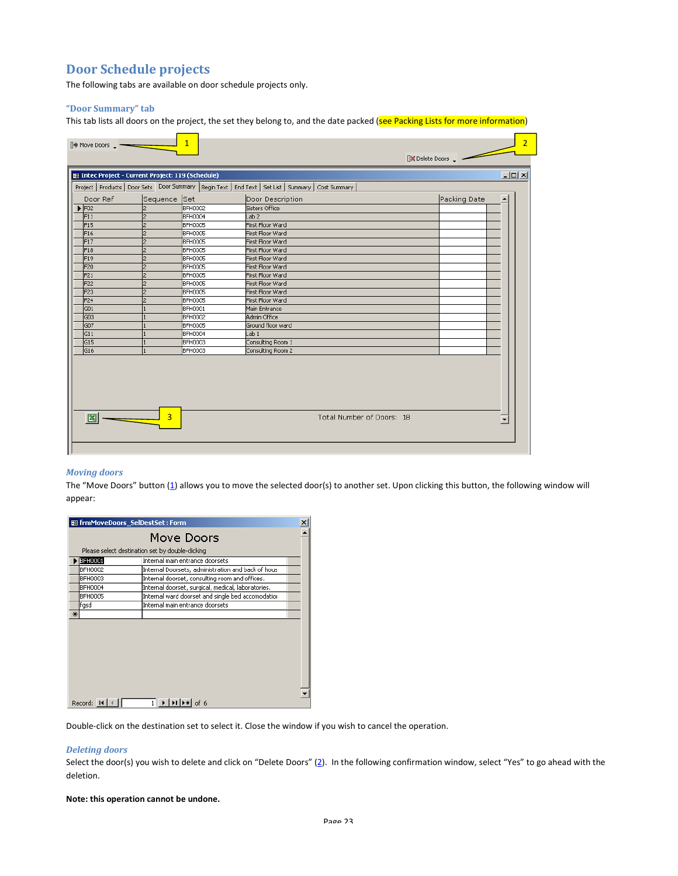# Door Schedule projects

The following tabs are available on door schedule projects only.

### "Door Summary" tab

This tab lists all doors on the project, the set they belong to, and the date packed (see Packing Lists for more information)

|                  |                | E Intec Project - Current Project: 119 (Schedule) | Project   Products   Door Sets   Door Summary   Begin Text   End Text   Set List   Summary   Cost Summary |              | $\Box$ o $\times$ |
|------------------|----------------|---------------------------------------------------|-----------------------------------------------------------------------------------------------------------|--------------|-------------------|
| Door Ref         | Sequence Set   |                                                   | Door Description                                                                                          | Packing Date |                   |
| F02              | 2              | BFH0002                                           | Sisters Office                                                                                            |              |                   |
| F11              | 2              | BFH0004                                           | Lab 2                                                                                                     |              |                   |
| F15              | l2             | BFH0005                                           | First Floor Ward                                                                                          |              |                   |
| F16              | 2              | BFH0005                                           | First Floor Ward                                                                                          |              |                   |
| F17              | 2              | BFH0005                                           | First Floor Ward                                                                                          |              |                   |
| F18              | $\overline{2}$ | BFH0005                                           | First Floor Ward                                                                                          |              |                   |
| F19              | 2              | BFH0005                                           | First Floor Ward                                                                                          |              |                   |
| F20              | l2             | BFH0005                                           | First Floor Ward                                                                                          |              |                   |
| F21              | 2              | BFH0005                                           | First Floor Ward                                                                                          |              |                   |
| F <sub>22</sub>  | l2             | BFH0005                                           | First Floor Ward                                                                                          |              |                   |
| F <sub>23</sub>  | 2              | BFH0005                                           | First Floor Ward                                                                                          |              |                   |
| F24              | l2             | BFH0005                                           | First Floor Ward                                                                                          |              |                   |
| $\overline{G01}$ |                | BFH0001                                           | Main Entrance                                                                                             |              |                   |
| Go3              |                | BFH0002                                           | Admin Office                                                                                              |              |                   |
| G <sub>07</sub>  |                | BFH0005                                           | Ground floor ward                                                                                         |              |                   |
| G11              |                | BFH0004                                           | Lab <sub>1</sub>                                                                                          |              |                   |
| G <sub>15</sub>  |                | BFH0003                                           | Consulting Room 1                                                                                         |              |                   |
| G <sub>16</sub>  |                | BFH0003                                           | Consulting Room 2                                                                                         |              |                   |

### Moving doors

The "Move Doors" button  $(\underline{1})$  allows you to move the selected door(s) to another set. Upon clicking this button, the following window will appear:

|     | 图 frmMoveDoors_SelDestSet: Form |                                                    |  |
|-----|---------------------------------|----------------------------------------------------|--|
|     |                                 | Move Doors                                         |  |
|     |                                 | Please select destination set by double-clicking   |  |
|     | <b>BFH0001</b>                  | Internal main entrance doorsets                    |  |
|     | <b>BFH0002</b>                  | Internal Doorsets, administration and back of hous |  |
|     | BFH0003                         | Internal doorset, consulting room and offices.     |  |
|     | BFH0004                         | Internal doorset, surgical, medical, laboratories. |  |
|     | <b>BFH0005</b>                  | Internal ward doorset and single bed accomodatior  |  |
|     | lfgsd                           | Internal main entrance doorsets                    |  |
| $*$ |                                 |                                                    |  |
|     |                                 |                                                    |  |
|     |                                 |                                                    |  |
|     |                                 |                                                    |  |
|     |                                 |                                                    |  |
|     |                                 |                                                    |  |
|     |                                 |                                                    |  |
|     |                                 |                                                    |  |
|     |                                 |                                                    |  |
|     |                                 |                                                    |  |
|     | Record: 14                      | $1 \rightarrow  H $                                |  |

Double-click on the destination set to select it. Close the window if you wish to cancel the operation.

#### Deleting doors

Select the door(s) you wish to delete and click on "Delete Doors" (2). In the following confirmation window, select "Yes" to go ahead with the deletion.

#### Note: this operation cannot be undone.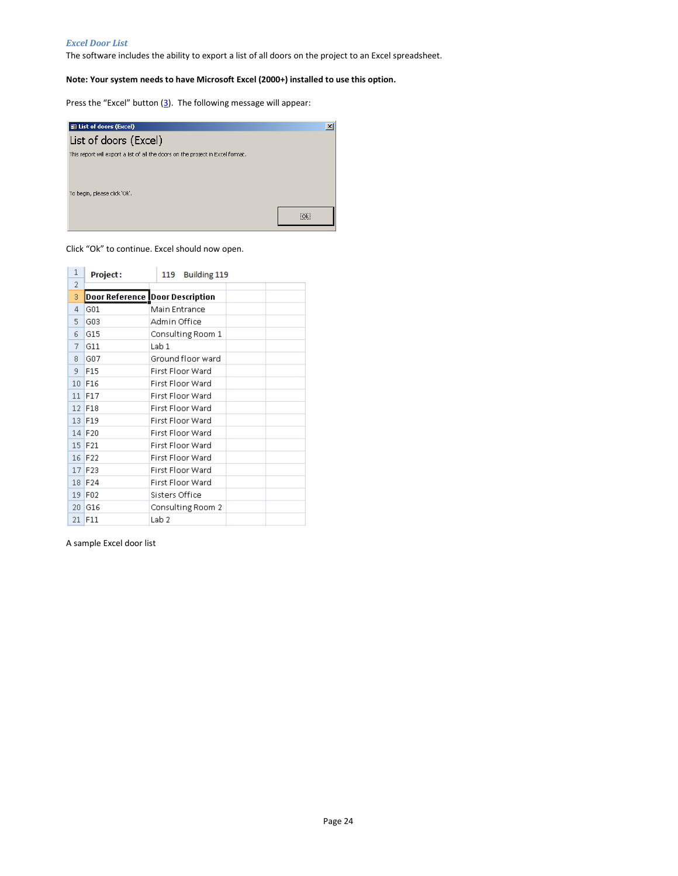#### Excel Door List

The software includes the ability to export a list of all doors on the project to an Excel spreadsheet.

### Note: Your system needs to have Microsoft Excel (2000+) installed to use this option.

Press the "Excel" button  $(3)$ . The following message will appear:



Click "Ok" to continue. Excel should now open.

| $\mathbf{1}$    | <b>Project:</b> | <b>Building 119</b><br>119      |  |
|-----------------|-----------------|---------------------------------|--|
| 2               |                 |                                 |  |
| 3               |                 | Door Reference Door Description |  |
| 4               | G01             | Main Entrance                   |  |
| 5               | G03             | Admin Office                    |  |
| 6               | G15             | Consulting Room 1               |  |
| 7               | G11             | Lab 1                           |  |
| 8               | G07             | Ground floor ward               |  |
| 9               | F15             | First Floor Ward                |  |
| 10              | F <sub>16</sub> | First Floor Ward                |  |
| 11              | F17             | First Floor Ward                |  |
| 12 <sup>1</sup> | F18             | First Floor Ward                |  |
|                 | 13 F19          | First Floor Ward                |  |
|                 | 14 F20          | First Floor Ward                |  |
|                 | 15 F21          | First Floor Ward                |  |
| 16              | F22             | First Floor Ward                |  |
| 17              | F23             | First Floor Ward                |  |
| 18              | F24             | First Floor Ward                |  |
| 19              | F02             | Sisters Office                  |  |
| 20 <sub>1</sub> | G16             | Consulting Room 2               |  |
| 21.             | F11             | Lab 2                           |  |

A sample Excel door list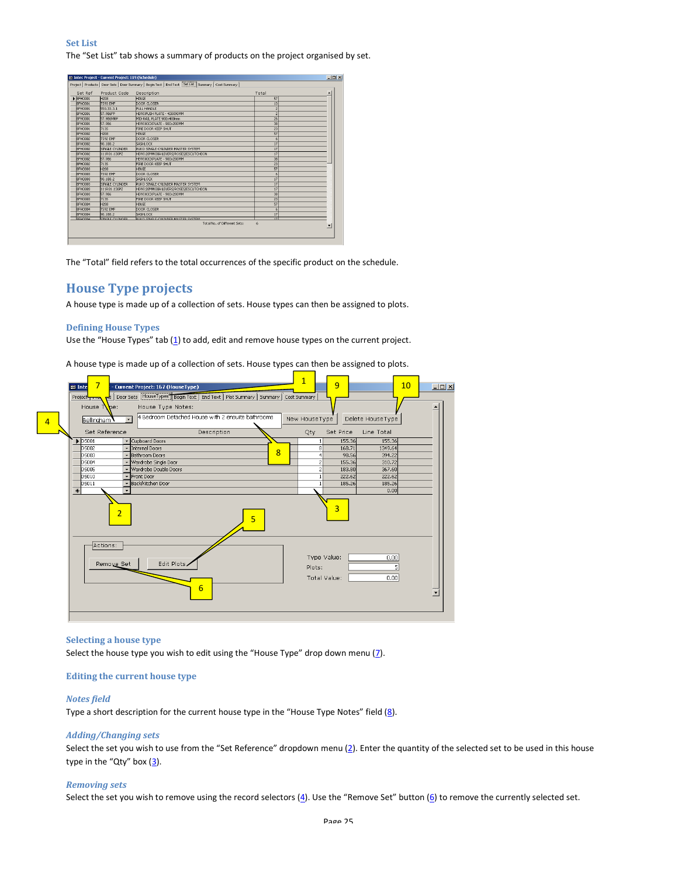Set List The "Set List" tab shows a summary of products on the project organised by set.

| Set Ref                  | Product Code           | Description                               | Total           |  |
|--------------------------|------------------------|-------------------------------------------|-----------------|--|
| $\triangleright$ BFH0001 | <b>H208</b>            | <b>HTMGF</b>                              | 57              |  |
| BFH0001                  | TS93 FMF               | DOOR CLOSER                               | 13              |  |
| BFH0001                  | 550.33.3.1             | PULL HANDLE                               | $\overline{2}$  |  |
| BFH0001                  | 57.986FP               | HEWI PUSH PLATE - 400X90MM                | $\overline{c}$  |  |
| <b>BFH0001</b>           | 57.986MRP              | MID RAIL PLATE 900x400mm                  | 26              |  |
| <b>BFH0001</b>           | 57.986                 | HEWI KICKPLATE - 900x200MM                | 38              |  |
| <b>BFH0001</b>           | 7135                   | FIRE DOOR KEEP SHIIT                      | 23              |  |
| BFH0002                  | <b>H208</b>            | <b>HINGE</b>                              | 57              |  |
| BFH0002                  | TS92 FMF               | DOOR CLOSER                               | 6               |  |
| BFH0002                  | 90.188.2               | <b>SASHLOCK</b>                           | 17              |  |
| <b>BFH0002</b>           | SINGLE CYLINDER        | RUKO SINGLE CYLINDER MASTER SYSTEM        | 17              |  |
| <b>BFH0002</b>           | 111R01.130PZ           | HEWI 20MM DIA LEVERS/ROSES/ESCUTCHEON     | 17              |  |
| <b>BFH0002</b>           | 57.986                 | HEWI KICKPLATE - 900x200MM                | 38              |  |
| <b>BFH0002</b>           | 7135                   | FIRE DOOR KEEP SHUT                       | $\overline{23}$ |  |
| <b>BFH0003</b>           | <b>H208</b>            | <b>HINGE</b>                              | 57              |  |
| BFH0003                  | TS92 EMF               | DOOR CLOSER                               | 6               |  |
| BFH0003                  | 90.188.2               | <b>SASH OCK</b>                           | 17              |  |
| <b>BFH0003</b>           | <b>SINGLE CYLINDER</b> | RUKO SINGLE CYLINDER MASTER SYSTEM        | 17              |  |
| <b>BFH0003</b>           | 111R01.130PZ           | HEWI 20MM DIA LEVERS/ROSES/ESCUTCHEON     | 17              |  |
| <b>BFH0003</b>           | 57,986                 | HEWI KICKPLATE - 900x200MM                | 38              |  |
| <b>BEH0003</b>           | 7135                   | FIRE DOOR KEEP SHUT                       | $\overline{23}$ |  |
| <b>BFH0004</b>           | H208                   | <b>HINGE</b>                              | 57              |  |
| <b>BFH0004</b>           | TS92 EMF               | DOOR CLOSER                               | 6               |  |
| BFH0004                  | 90,188.2               | SASHLOCK                                  | 17              |  |
| REHODO4                  | SINGLE CYLINDED.       | <b>DUVO SINGLE CYLINDED MASTED SYSTEM</b> | ਰ               |  |

The "Total" field refers to the total occurrences of the specific product on the schedule.

# House Type projects

A house type is made up of a collection of sets. House types can then be assigned to plots.

#### Defining House Types

Use the "House Types" tab  $(1)$  to add, edit and remove house types on the current project.

A house type is made up of a collection of sets. House types can then be assigned to plots.



#### Selecting a house type

Select the house type you wish to edit using the "House Type" drop down menu  $(2)$ .

#### Editing the current house type

#### Notes field

Type a short description for the current house type in the "House Type Notes" field  $(8)$ .

#### Adding/Changing sets

Select the set you wish to use from the "Set Reference" dropdown menu  $(2)$ . Enter the quantity of the selected set to be used in this house type in the "Qty" box  $(3)$ .

#### Removing sets

Select the set you wish to remove using the record selectors  $(4)$ . Use the "Remove Set" button  $(6)$  to remove the currently selected set.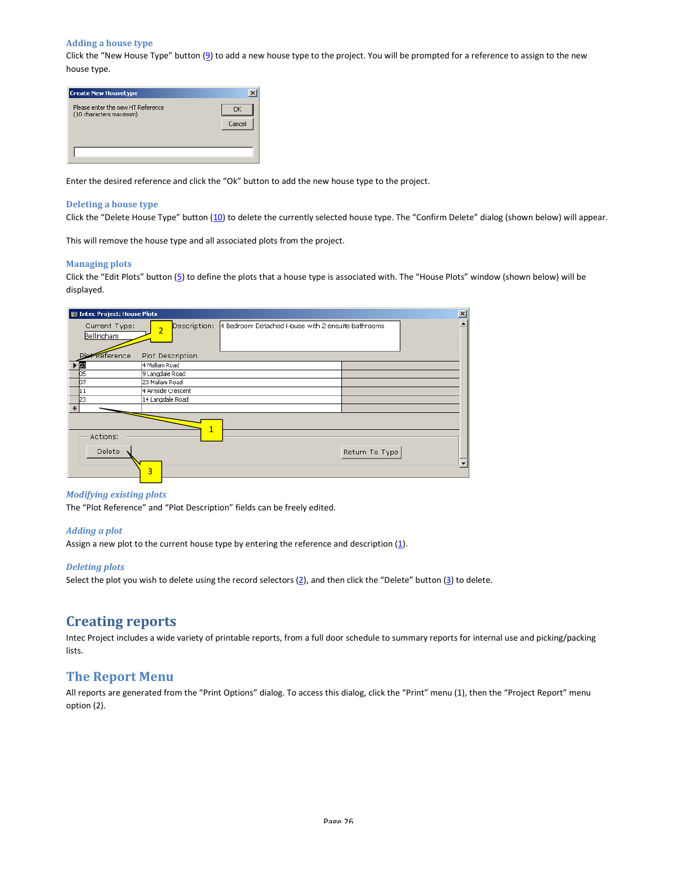#### Adding a house type

Click the "New House Type" button (9) to add a new house type to the project. You will be prompted for a reference to assign to the new house type.

| <b>Create New Housetype</b>                                  | ×            |
|--------------------------------------------------------------|--------------|
| Please enter the new HT Reference<br>(10 characters maximum) | пκ<br>Cancel |
|                                                              |              |

Enter the desired reference and click the "Ok" button to add the new house type to the project.

#### Deleting a house type

Click the "Delete House Type" button (10) to delete the currently selected house type. The "Confirm Delete" dialog (shown below) will appear.

This will remove the house type and all associated plots from the project.

#### Managing plots

Click the "Edit Plots" button (5) to define the plots that a house type is associated with. The "House Plots" window (shown below) will be displayed.

| <b>B</b> Intec Project: House Plots |                                                                   | 즤 |
|-------------------------------------|-------------------------------------------------------------------|---|
| Current Type:<br>Bellingham         | 4 Bedroom Detached House with 2 ensuite bathrooms<br>Description: |   |
| Reference                           | Plot Description                                                  |   |
| $\blacktriangleright$ [D3           | 4 Mallam Road                                                     |   |
| los                                 | 9 Langdale Road                                                   |   |
| 107                                 | 23 Mallam Road                                                    |   |
| 11                                  | 4 Arnside Crescent                                                |   |
| l23                                 | 14 Langdale Road                                                  |   |
| $*$                                 |                                                                   |   |
| Actions:<br>Delete                  | 1<br>Return To Type<br>3                                          |   |

#### Modifying existing plots

The "Plot Reference" and "Plot Description" fields can be freely edited.

#### Adding a plot

Assign a new plot to the current house type by entering the reference and description (1).

### Deleting plots

Select the plot you wish to delete using the record selectors  $(2)$ , and then click the "Delete" button  $(3)$  to delete.

# Creating reports

Intec Project includes a wide variety of printable reports, from a full door schedule to summary reports for internal use and picking/packing lists.

### The Report Menu

All reports are generated from the "Print Options" dialog. To access this dialog, click the "Print" menu (1), then the "Project Report" menu option (2).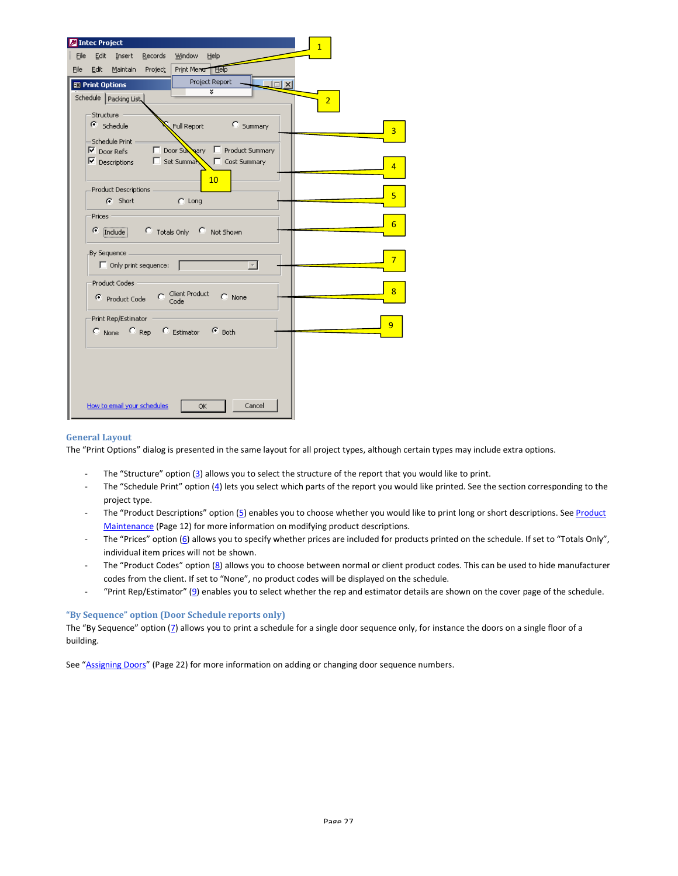| $\overline{1}$<br>Edit Insert<br>Records<br>Window Help<br>File                                                                                                  |  |
|------------------------------------------------------------------------------------------------------------------------------------------------------------------|--|
| Edit Maintain<br>Print Meno Help<br>File<br>Project                                                                                                              |  |
| Project Report<br>$\Box$<br><b>B</b> Print Options                                                                                                               |  |
| ×<br>Schedule   Packing List<br>$\overline{2}$                                                                                                                   |  |
| Structure                                                                                                                                                        |  |
| C Summary<br>$\epsilon$ Schedule<br>Full Report<br>$\overline{3}$                                                                                                |  |
| Schedule Print                                                                                                                                                   |  |
| Ⅳ Door Refs ID Door Survey ID Product Summary                                                                                                                    |  |
| $\overline{V}$ Descriptions $\qquad \qquad \Box$ Set Summary<br>$\overline{4}$                                                                                   |  |
| 10                                                                                                                                                               |  |
| Product Descriptions .<br>5<br>G Short<br><b>Common Common Common Common Common Common Common Common Common Common Common Common Common Common Common Common</b> |  |
| Prices -                                                                                                                                                         |  |
| $6\overline{6}$<br>G.                                                                                                                                            |  |
| Include C Totals Only C Not Shown                                                                                                                                |  |
| By Sequence                                                                                                                                                      |  |
| $\overline{7}$<br>$\Box$ Only print sequence:<br>$\mathbf{w}$                                                                                                    |  |
| Product Codes                                                                                                                                                    |  |
| 8<br>Product Code C Client Product<br>$C$ None                                                                                                                   |  |
|                                                                                                                                                                  |  |
| Print Rep/Estimator<br>9                                                                                                                                         |  |
| C None C Rep C Estimator C Both                                                                                                                                  |  |
|                                                                                                                                                                  |  |
|                                                                                                                                                                  |  |
|                                                                                                                                                                  |  |
|                                                                                                                                                                  |  |
| How to email your schedules.<br>Cancel<br><b>OK</b>                                                                                                              |  |

#### General Layout

The "Print Options" dialog is presented in the same layout for all project types, although certain types may include extra options.

- The "Structure" option (3) allows you to select the structure of the report that you would like to print.
- The "Schedule Print" option (4) lets you select which parts of the report you would like printed. See the section corresponding to the project type.
- The "Product Descriptions" option (5) enables you to choose whether you would like to print long or short descriptions. See Product Maintenance (Page 12) for more information on modifying product descriptions.
- The "Prices" option (6) allows you to specify whether prices are included for products printed on the schedule. If set to "Totals Only", individual item prices will not be shown.
- The "Product Codes" option (8) allows you to choose between normal or client product codes. This can be used to hide manufacturer codes from the client. If set to "None", no product codes will be displayed on the schedule.
- "Print Rep/Estimator" (9) enables you to select whether the rep and estimator details are shown on the cover page of the schedule.

#### "By Sequence" option (Door Schedule reports only)

The "By Sequence" option (7) allows you to print a schedule for a single door sequence only, for instance the doors on a single floor of a building.

See "Assigning Doors" (Page 22) for more information on adding or changing door sequence numbers.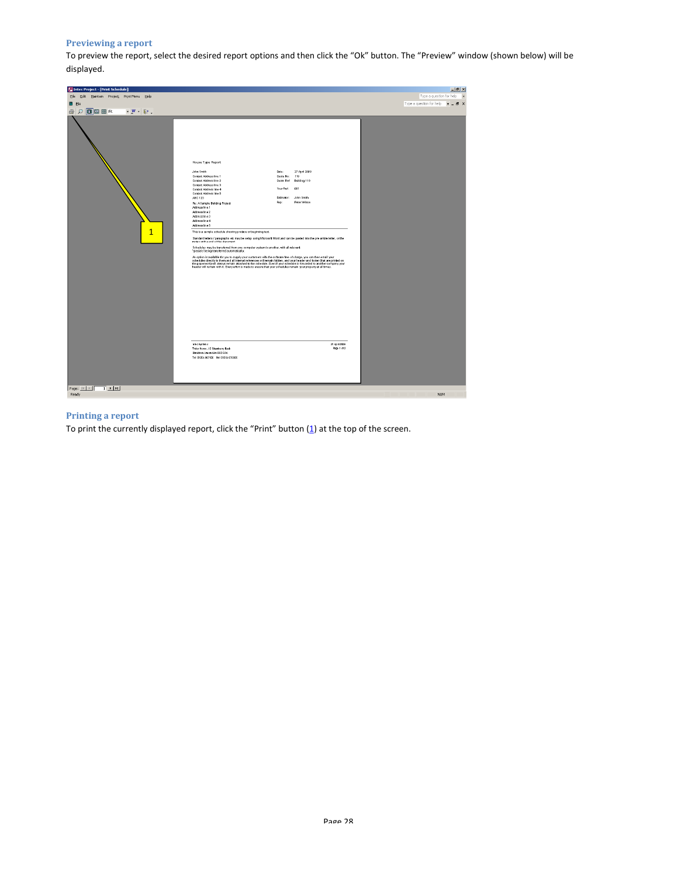### Previewing a report

To preview the report, select the desired report options and then click the "Ok" button. The "Preview" window (shown below) will be displayed.



### Printing a report

To print the currently displayed report, click the "Print" button  $(1)$  at the top of the screen.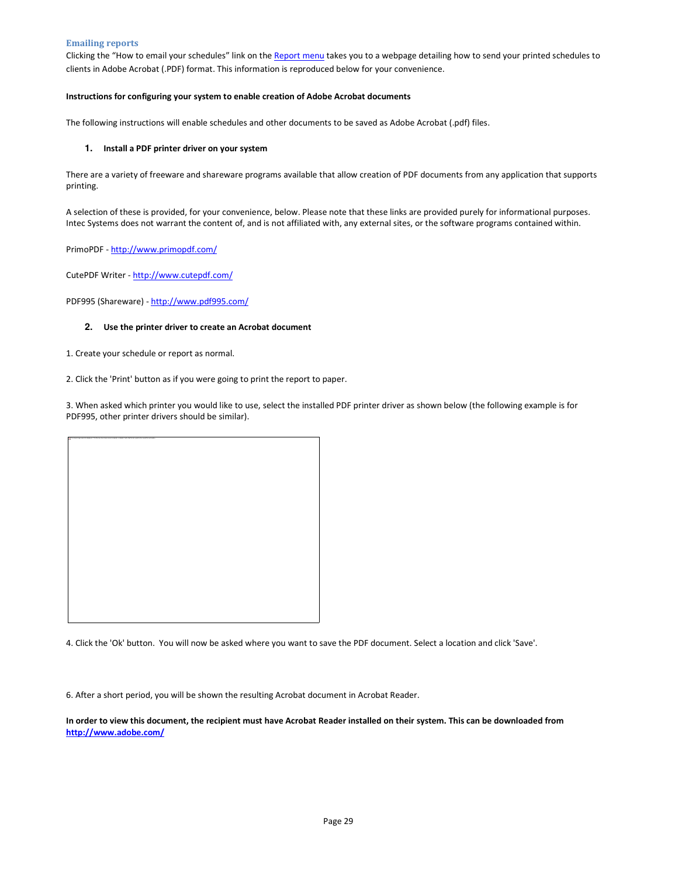#### Emailing reports

Clicking the "How to email your schedules" link on the Report menu takes you to a webpage detailing how to send your printed schedules to clients in Adobe Acrobat (.PDF) format. This information is reproduced below for your convenience.

#### Instructions for configuring your system to enable creation of Adobe Acrobat documents

The following instructions will enable schedules and other documents to be saved as Adobe Acrobat (.pdf) files.

#### **1.** Install a PDF printer driver on your system

There are a variety of freeware and shareware programs available that allow creation of PDF documents from any application that supports printing.

A selection of these is provided, for your convenience, below. Please note that these links are provided purely for informational purposes. Intec Systems does not warrant the content of, and is not affiliated with, any external sites, or the software programs contained within.

PrimoPDF - http://www.primopdf.com/

CutePDF Writer - http://www.cutepdf.com/

PDF995 (Shareware) - http://www.pdf995.com/

#### **2.** Use the printer driver to create an Acrobat document

1. Create your schedule or report as normal.

2. Click the 'Print' button as if you were going to print the report to paper.

3. When asked which printer you would like to use, select the installed PDF printer driver as shown below (the following example is for PDF995, other printer drivers should be similar).

| a The black map which be deple at . The fix map have been immed, on account made) that the top parts to be announced and subsect. |  |
|-----------------------------------------------------------------------------------------------------------------------------------|--|
|                                                                                                                                   |  |
|                                                                                                                                   |  |
|                                                                                                                                   |  |
|                                                                                                                                   |  |
|                                                                                                                                   |  |
|                                                                                                                                   |  |
|                                                                                                                                   |  |
|                                                                                                                                   |  |
|                                                                                                                                   |  |
|                                                                                                                                   |  |
|                                                                                                                                   |  |
|                                                                                                                                   |  |
|                                                                                                                                   |  |
|                                                                                                                                   |  |
|                                                                                                                                   |  |
|                                                                                                                                   |  |
|                                                                                                                                   |  |
|                                                                                                                                   |  |
|                                                                                                                                   |  |
|                                                                                                                                   |  |
|                                                                                                                                   |  |
|                                                                                                                                   |  |
|                                                                                                                                   |  |
|                                                                                                                                   |  |
|                                                                                                                                   |  |
|                                                                                                                                   |  |
|                                                                                                                                   |  |
|                                                                                                                                   |  |
|                                                                                                                                   |  |
|                                                                                                                                   |  |
|                                                                                                                                   |  |
|                                                                                                                                   |  |
|                                                                                                                                   |  |
|                                                                                                                                   |  |
|                                                                                                                                   |  |
|                                                                                                                                   |  |
|                                                                                                                                   |  |
|                                                                                                                                   |  |
|                                                                                                                                   |  |
|                                                                                                                                   |  |
|                                                                                                                                   |  |
|                                                                                                                                   |  |
|                                                                                                                                   |  |
|                                                                                                                                   |  |
|                                                                                                                                   |  |
|                                                                                                                                   |  |
|                                                                                                                                   |  |
|                                                                                                                                   |  |
|                                                                                                                                   |  |
|                                                                                                                                   |  |
|                                                                                                                                   |  |
|                                                                                                                                   |  |
|                                                                                                                                   |  |
|                                                                                                                                   |  |
|                                                                                                                                   |  |
|                                                                                                                                   |  |
|                                                                                                                                   |  |
|                                                                                                                                   |  |
|                                                                                                                                   |  |
|                                                                                                                                   |  |
|                                                                                                                                   |  |
|                                                                                                                                   |  |
|                                                                                                                                   |  |
|                                                                                                                                   |  |

4. Click the 'Ok' button. You will now be asked where you want to save the PDF document. Select a location and click 'Save'.

6. After a short period, you will be shown the resulting Acrobat document in Acrobat Reader.

In order to view this document, the recipient must have Acrobat Reader installed on their system. This can be downloaded from http://www.adobe.com/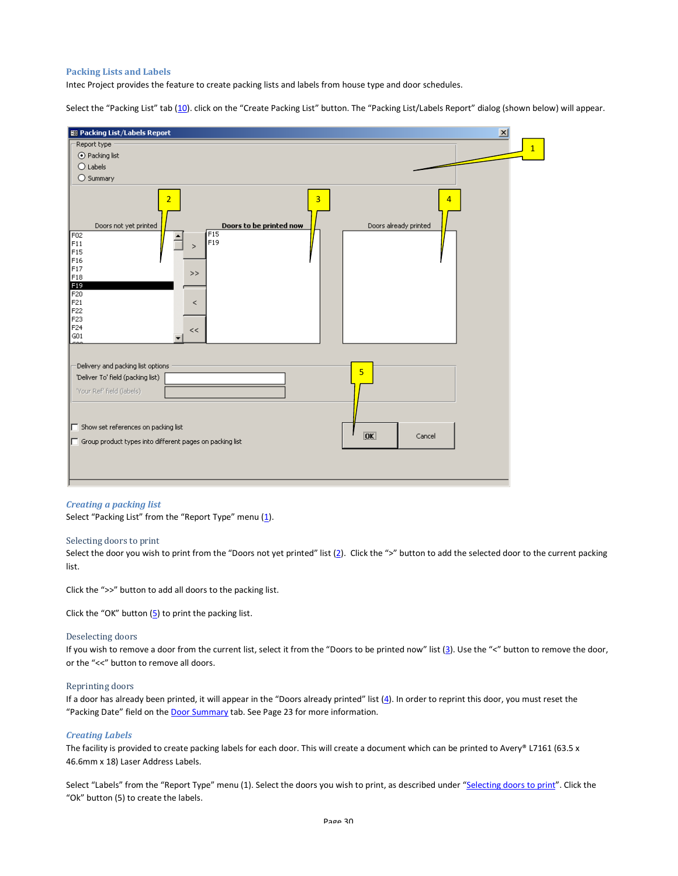#### Packing Lists and Labels

Intec Project provides the feature to create packing lists and labels from house type and door schedules.

Select the "Packing List" tab (10). click on the "Create Packing List" button. The "Packing List/Labels Report" dialog (shown below) will appear.



#### Creating a packing list

Select "Packing List" from the "Report Type" menu (1).

#### Selecting doors to print

Select the door you wish to print from the "Doors not yet printed" list (2). Click the ">" button to add the selected door to the current packing list.

Click the ">>" button to add all doors to the packing list.

Click the "OK" button  $(5)$  to print the packing list.

#### Deselecting doors

If you wish to remove a door from the current list, select it from the "Doors to be printed now" list (3). Use the "<" button to remove the door, or the "<<" button to remove all doors.

#### Reprinting doors

If a door has already been printed, it will appear in the "Doors already printed" list (4). In order to reprint this door, you must reset the "Packing Date" field on the **Door Summary** tab. See Page 23 for more information.

#### Creating Labels

The facility is provided to create packing labels for each door. This will create a document which can be printed to Avery® L7161 (63.5 x 46.6mm x 18) Laser Address Labels.

Select "Labels" from the "Report Type" menu (1). Select the doors you wish to print, as described under "Selecting doors to print". Click the "Ok" button (5) to create the labels.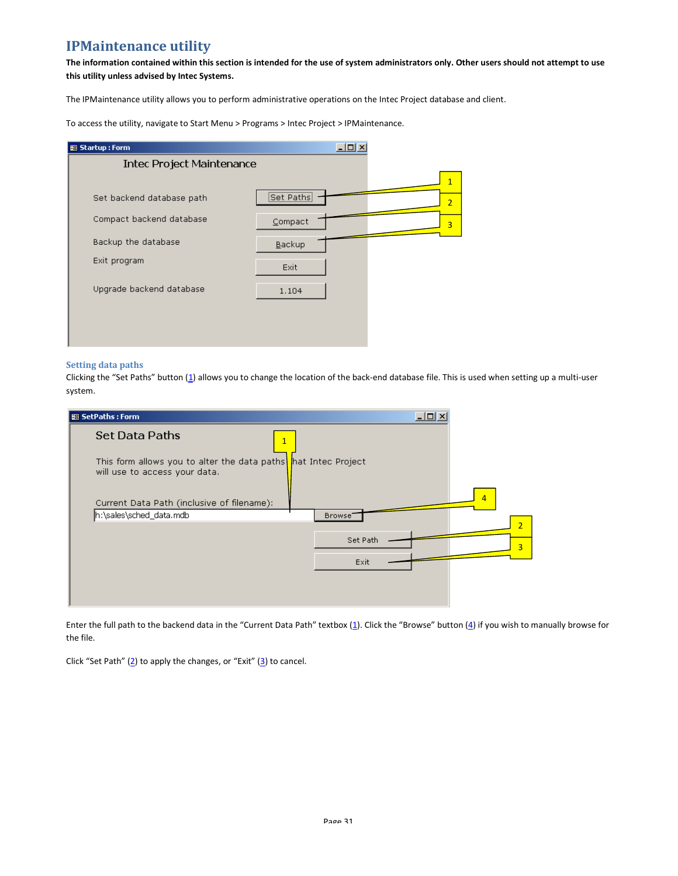# IPMaintenance utility

The information contained within this section is intended for the use of system administrators only. Other users should not attempt to use this utility unless advised by Intec Systems.

The IPMaintenance utility allows you to perform administrative operations on the Intec Project database and client.

To access the utility, navigate to Start Menu > Programs > Intec Project > IPMaintenance.

| 图 Startup: Form                  | $\Box$ l $\Box$ l $\times$      |
|----------------------------------|---------------------------------|
| <b>Intec Project Maintenance</b> |                                 |
|                                  | 1                               |
| Set backend database path        | <br>Set Paths<br>$\overline{2}$ |
| Compact backend database         | Compact<br>$\overline{3}$       |
| Backup the database              | Backup                          |
| Exit program                     | Exit                            |
| Upgrade backend database         | 1.104                           |
|                                  |                                 |
|                                  |                                 |

### Setting data paths

Clicking the "Set Paths" button (1) allows you to change the location of the back-end database file. This is used when setting up a multi-user system.

| <b>B</b> SetPaths : Form                                                      | $ \Box$ $\times$                      |
|-------------------------------------------------------------------------------|---------------------------------------|
| <b>Set Data Paths</b><br>$\mathbf{1}$                                         |                                       |
| This form allows you to alter the data paths<br>will use to access your data. | hat Intec Project                     |
| Current Data Path (inclusive of filename):                                    | 4                                     |
| h:\sales\sched_data.mdb                                                       | Browse <sup>-</sup><br>$\overline{2}$ |
|                                                                               | Set Path                              |
|                                                                               | 3                                     |
|                                                                               | Exit                                  |
|                                                                               |                                       |
|                                                                               |                                       |

Enter the full path to the backend data in the "Current Data Path" textbox (1). Click the "Browse" button (4) if you wish to manually browse for the file.

Click "Set Path"  $(2)$  to apply the changes, or "Exit"  $(3)$  to cancel.